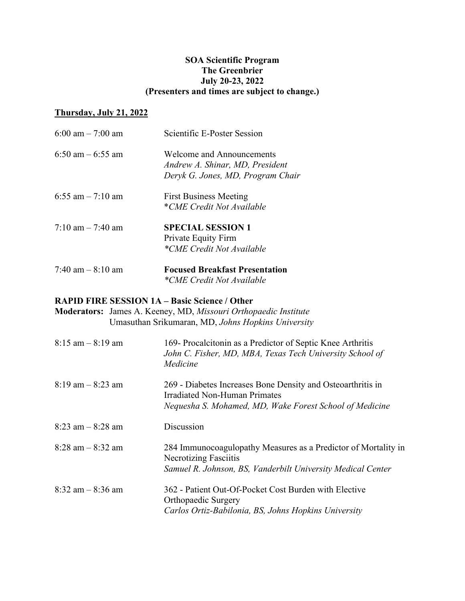## **SOA Scientific Program The Greenbrier July 20-23, 2022 (Presenters and times are subject to change.)**

# **Thursday, July 21, 2022**

| $6:00$ am $-7:00$ am | Scientific E-Poster Session                                                                                                                                                   |
|----------------------|-------------------------------------------------------------------------------------------------------------------------------------------------------------------------------|
| $6:50$ am $-6:55$ am | <b>Welcome and Announcements</b><br>Andrew A. Shinar, MD, President<br>Deryk G. Jones, MD, Program Chair                                                                      |
| 6:55 am $-7:10$ am   | <b>First Business Meeting</b><br>*CME Credit Not Available                                                                                                                    |
| $7:10$ am $-7:40$ am | <b>SPECIAL SESSION 1</b><br>Private Equity Firm<br>*CME Credit Not Available                                                                                                  |
| $7:40$ am $-8:10$ am | <b>Focused Breakfast Presentation</b><br>*CME Credit Not Available                                                                                                            |
|                      | <b>RAPID FIRE SESSION 1A - Basic Science / Other</b><br>Moderators: James A. Keeney, MD, Missouri Orthopaedic Institute<br>Umasuthan Srikumaran, MD, Johns Hopkins University |
| $8:15$ am $-8:19$ am | 169- Procalcitonin as a Predictor of Septic Knee Arthritis<br>John C. Fisher, MD, MBA, Texas Tech University School of<br>Medicine                                            |
| $8:19$ am $-8:23$ am | 269 - Diabetes Increases Bone Density and Osteoarthritis in<br><b>Irradiated Non-Human Primates</b><br>Nequesha S. Mohamed, MD, Wake Forest School of Medicine                |
| $8:23$ am $-8:28$ am | Discussion                                                                                                                                                                    |
| $8:28$ am $-8:32$ am | 284 Immunocoagulopathy Measures as a Predictor of Mortality in<br><b>Necrotizing Fasciitis</b><br>Samuel R. Johnson, BS, Vanderbilt University Medical Center                 |
| $8:32$ am $-8:36$ am | 362 - Patient Out-Of-Pocket Cost Burden with Elective<br>Orthopaedic Surgery<br>Carlos Ortiz-Babilonia, BS, Johns Hopkins University                                          |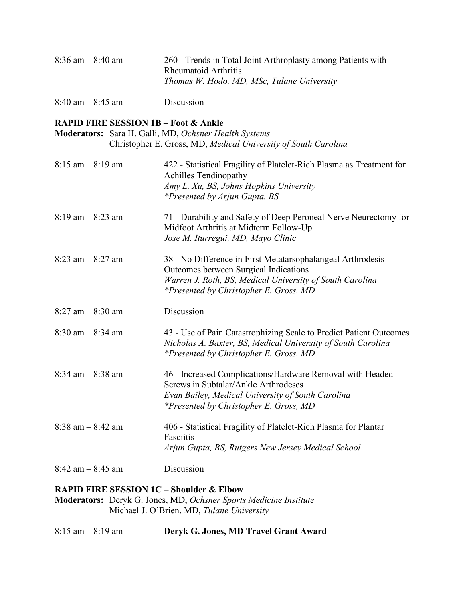| $8:36$ am $-8:40$ am | 260 - Trends in Total Joint Arthroplasty among Patients with |
|----------------------|--------------------------------------------------------------|
|                      | Rheumatoid Arthritis                                         |
|                      | Thomas W. Hodo, MD, MSc, Tulane University                   |
|                      |                                                              |

 $8:40$  am  $-8:45$  am Discussion

## **RAPID FIRE SESSION 1B – Foot & Ankle**

| <b>Moderators:</b> Sara H. Galli, MD, <i>Ochsner Health Systems</i> |
|---------------------------------------------------------------------|
| Christopher E. Gross, MD, Medical University of South Carolina      |

| $8:15$ am $-8:19$ am | 422 - Statistical Fragility of Platelet-Rich Plasma as Treatment for<br>Achilles Tendinopathy<br>Amy L. Xu, BS, Johns Hopkins University<br><i>*Presented by Arjun Gupta, BS</i>                                  |
|----------------------|-------------------------------------------------------------------------------------------------------------------------------------------------------------------------------------------------------------------|
| $8:19$ am $-8:23$ am | 71 - Durability and Safety of Deep Peroneal Nerve Neurectomy for<br>Midfoot Arthritis at Midterm Follow-Up<br>Jose M. Iturregui, MD, Mayo Clinic                                                                  |
| $8:23$ am $-8:27$ am | 38 - No Difference in First Metatarsophalangeal Arthrodesis<br>Outcomes between Surgical Indications<br>Warren J. Roth, BS, Medical University of South Carolina<br><i>*Presented by Christopher E. Gross, MD</i> |
| $8:27$ am $-8:30$ am | Discussion                                                                                                                                                                                                        |
| $8:30$ am $-8:34$ am | 43 - Use of Pain Catastrophizing Scale to Predict Patient Outcomes<br>Nicholas A. Baxter, BS, Medical University of South Carolina<br><i>*Presented by Christopher E. Gross, MD</i>                               |
| $8:34$ am $-8:38$ am | 46 - Increased Complications/Hardware Removal with Headed<br>Screws in Subtalar/Ankle Arthrodeses<br>Evan Bailey, Medical University of South Carolina<br>*Presented by Christopher E. Gross, MD                  |
| $8:38$ am $-8:42$ am | 406 - Statistical Fragility of Platelet-Rich Plasma for Plantar<br>Fasciitis<br>Arjun Gupta, BS, Rutgers New Jersey Medical School                                                                                |
| $8:42$ am $-8:45$ am | Discussion                                                                                                                                                                                                        |

# **RAPID FIRE SESSION 1C – Shoulder & Elbow**

**Moderators:** Deryk G. Jones, MD, *Ochsner Sports Medicine Institute* Michael J. O'Brien, MD, *Tulane University*

8:15 am – 8:19 am **Deryk G. Jones, MD Travel Grant Award**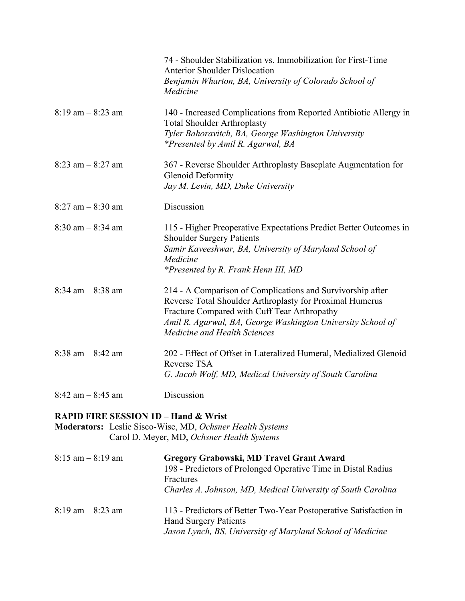|                                                                                                                                                                   | 74 - Shoulder Stabilization vs. Immobilization for First-Time<br><b>Anterior Shoulder Dislocation</b><br>Benjamin Wharton, BA, University of Colorado School of<br>Medicine                                                                                           |  |
|-------------------------------------------------------------------------------------------------------------------------------------------------------------------|-----------------------------------------------------------------------------------------------------------------------------------------------------------------------------------------------------------------------------------------------------------------------|--|
| $8:19$ am $-8:23$ am                                                                                                                                              | 140 - Increased Complications from Reported Antibiotic Allergy in<br><b>Total Shoulder Arthroplasty</b><br>Tyler Bahoravitch, BA, George Washington University<br>*Presented by Amil R. Agarwal, BA                                                                   |  |
| $8:23$ am $-8:27$ am                                                                                                                                              | 367 - Reverse Shoulder Arthroplasty Baseplate Augmentation for<br><b>Glenoid Deformity</b><br>Jay M. Levin, MD, Duke University                                                                                                                                       |  |
| $8:27$ am $-8:30$ am                                                                                                                                              | Discussion                                                                                                                                                                                                                                                            |  |
| $8:30$ am $-8:34$ am                                                                                                                                              | 115 - Higher Preoperative Expectations Predict Better Outcomes in<br><b>Shoulder Surgery Patients</b><br>Samir Kaveeshwar, BA, University of Maryland School of<br>Medicine<br>*Presented by R. Frank Henn III, MD                                                    |  |
| $8:34$ am $-8:38$ am                                                                                                                                              | 214 - A Comparison of Complications and Survivorship after<br>Reverse Total Shoulder Arthroplasty for Proximal Humerus<br>Fracture Compared with Cuff Tear Arthropathy<br>Amil R. Agarwal, BA, George Washington University School of<br>Medicine and Health Sciences |  |
| $8:38$ am $-8:42$ am                                                                                                                                              | 202 - Effect of Offset in Lateralized Humeral, Medialized Glenoid<br><b>Reverse TSA</b><br>G. Jacob Wolf, MD, Medical University of South Carolina                                                                                                                    |  |
| $8:42$ am $-8:45$ am                                                                                                                                              | Discussion                                                                                                                                                                                                                                                            |  |
| <b>RAPID FIRE SESSION 1D - Hand &amp; Wrist</b><br><b>Moderators:</b> Leslie Sisco-Wise, MD, Ochsner Health Systems<br>Carol D. Meyer, MD, Ochsner Health Systems |                                                                                                                                                                                                                                                                       |  |
| $8:15$ am $-8:19$ am                                                                                                                                              | Gregory Grabowski, MD Travel Grant Award<br>198 - Predictors of Prolonged Operative Time in Distal Radius<br>Fractures<br>Charles A. Johnson, MD, Medical University of South Carolina                                                                                |  |

| $8:19$ am $-8:23$ am | 113 - Predictors of Better Two-Year Postoperative Satisfaction in |
|----------------------|-------------------------------------------------------------------|
|                      | <b>Hand Surgery Patients</b>                                      |
|                      | Jason Lynch, BS, University of Maryland School of Medicine        |
|                      |                                                                   |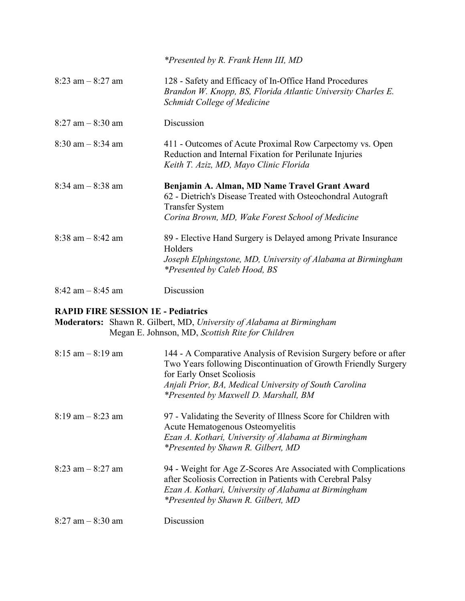|                      | *Presented by R. Frank Henn III, MD                                                                                                                                                         |
|----------------------|---------------------------------------------------------------------------------------------------------------------------------------------------------------------------------------------|
| $8:23$ am $-8:27$ am | 128 - Safety and Efficacy of In-Office Hand Procedures<br>Brandon W. Knopp, BS, Florida Atlantic University Charles E.<br>Schmidt College of Medicine                                       |
| $8:27$ am $-8:30$ am | Discussion                                                                                                                                                                                  |
| $8:30$ am $-8:34$ am | 411 - Outcomes of Acute Proximal Row Carpectomy vs. Open<br>Reduction and Internal Fixation for Perilunate Injuries<br>Keith T. Aziz, MD, Mayo Clinic Florida                               |
| $8:34$ am $-8:38$ am | Benjamin A. Alman, MD Name Travel Grant Award<br>62 - Dietrich's Disease Treated with Osteochondral Autograft<br><b>Transfer System</b><br>Corina Brown, MD, Wake Forest School of Medicine |
| $8:38$ am $-8:42$ am | 89 - Elective Hand Surgery is Delayed among Private Insurance<br>Holders<br>Joseph Elphingstone, MD, University of Alabama at Birmingham<br><i>*Presented by Caleb Hood, BS</i>             |
| $8:42$ am $-8:45$ am | Discussion                                                                                                                                                                                  |

## **RAPID FIRE SESSION 1E - Pediatrics**

**Moderators:** Shawn R. Gilbert, MD, *University of Alabama at Birmingham* Megan E. Johnson, MD, *Scottish Rite for Children*

| $8:15$ am $-8:19$ am | 144 - A Comparative Analysis of Revision Surgery before or after<br>Two Years following Discontinuation of Growth Friendly Surgery<br>for Early Onset Scoliosis<br>Anjali Prior, BA, Medical University of South Carolina<br><i>*Presented by Maxwell D. Marshall, BM</i> |
|----------------------|---------------------------------------------------------------------------------------------------------------------------------------------------------------------------------------------------------------------------------------------------------------------------|
| $8:19$ am $-8:23$ am | 97 - Validating the Severity of Illness Score for Children with<br>Acute Hematogenous Osteomyelitis<br>Ezan A. Kothari, University of Alabama at Birmingham<br><i>*Presented by Shawn R. Gilbert, MD</i>                                                                  |
| $8:23$ am $-8:27$ am | 94 - Weight for Age Z-Scores Are Associated with Complications<br>after Scoliosis Correction in Patients with Cerebral Palsy<br>Ezan A. Kothari, University of Alabama at Birmingham<br><i>*Presented by Shawn R. Gilbert, MD</i>                                         |
| $8:27$ am $-8:30$ am | Discussion                                                                                                                                                                                                                                                                |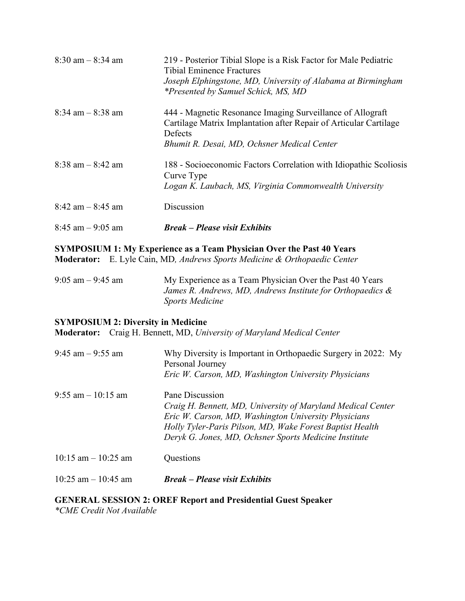| $8:30$ am $-8:34$ am                                           | 219 - Posterior Tibial Slope is a Risk Factor for Male Pediatric<br><b>Tibial Eminence Fractures</b><br>Joseph Elphingstone, MD, University of Alabama at Birmingham<br>*Presented by Samuel Schick, MS, MD                                                 |
|----------------------------------------------------------------|-------------------------------------------------------------------------------------------------------------------------------------------------------------------------------------------------------------------------------------------------------------|
| $8:34$ am $-8:38$ am                                           | 444 - Magnetic Resonance Imaging Surveillance of Allograft<br>Cartilage Matrix Implantation after Repair of Articular Cartilage<br>Defects<br>Bhumit R. Desai, MD, Ochsner Medical Center                                                                   |
| $8:38$ am $-8:42$ am                                           | 188 - Socioeconomic Factors Correlation with Idiopathic Scoliosis<br>Curve Type<br>Logan K. Laubach, MS, Virginia Commonwealth University                                                                                                                   |
| $8:42$ am $-8:45$ am                                           | Discussion                                                                                                                                                                                                                                                  |
| $8:45$ am $-9:05$ am                                           | <b>Break – Please visit Exhibits</b>                                                                                                                                                                                                                        |
|                                                                | <b>SYMPOSIUM 1: My Experience as a Team Physician Over the Past 40 Years</b><br>Moderator: E. Lyle Cain, MD, Andrews Sports Medicine & Orthopaedic Center                                                                                                   |
| $9:05$ am $-9:45$ am                                           | My Experience as a Team Physician Over the Past 40 Years<br>James R. Andrews, MD, Andrews Institute for Orthopaedics &<br><b>Sports Medicine</b>                                                                                                            |
| <b>SYMPOSIUM 2: Diversity in Medicine</b><br><b>Moderator:</b> | Craig H. Bennett, MD, University of Maryland Medical Center                                                                                                                                                                                                 |
| $9:45$ am $-9:55$ am                                           | Why Diversity is Important in Orthopaedic Surgery in 2022: My<br>Personal Journey<br>Eric W. Carson, MD, Washington University Physicians                                                                                                                   |
| $9:55$ am $-10:15$ am                                          | Pane Discussion<br>Craig H. Bennett, MD, University of Maryland Medical Center<br>Eric W. Carson, MD, Washington University Physicians<br>Holly Tyler-Paris Pilson, MD, Wake Forest Baptist Health<br>Deryk G. Jones, MD, Ochsner Sports Medicine Institute |
| $10:15$ am $-10:25$ am                                         | Questions                                                                                                                                                                                                                                                   |

10:25 am – 10:45 am *Break – Please visit Exhibits*

## **GENERAL SESSION 2: OREF Report and Presidential Guest Speaker** *\*CME Credit Not Available*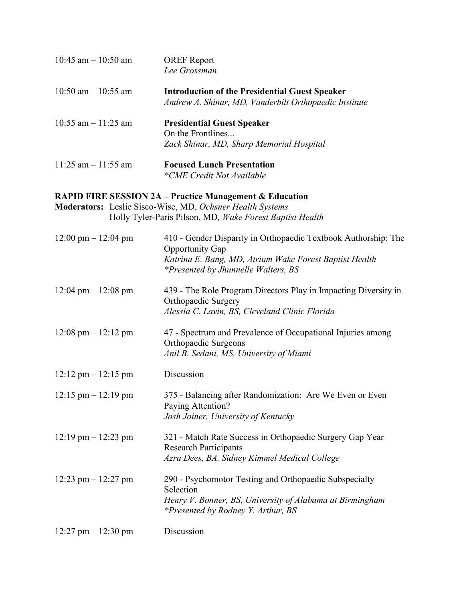| 10:45 am $-$ 10:50 am                 | <b>OREF</b> Report<br>Lee Grossman                                                                                                                                                                 |
|---------------------------------------|----------------------------------------------------------------------------------------------------------------------------------------------------------------------------------------------------|
| 10:50 am $-$ 10:55 am                 | <b>Introduction of the Presidential Guest Speaker</b><br>Andrew A. Shinar, MD, Vanderbilt Orthopaedic Institute                                                                                    |
| 10:55 am $-$ 11:25 am                 | <b>Presidential Guest Speaker</b><br>On the Frontlines<br>Zack Shinar, MD, Sharp Memorial Hospital                                                                                                 |
| $11:25$ am $-11:55$ am                | <b>Focused Lunch Presentation</b><br>*CME Credit Not Available                                                                                                                                     |
|                                       | <b>RAPID FIRE SESSION 2A – Practice Management &amp; Education</b><br><b>Moderators:</b> Leslie Sisco-Wise, MD, Ochsner Health Systems<br>Holly Tyler-Paris Pilson, MD, Wake Forest Baptist Health |
| $12:00 \text{ pm} - 12:04 \text{ pm}$ | 410 - Gender Disparity in Orthopaedic Textbook Authorship: The<br><b>Opportunity Gap</b><br>Katrina E. Bang, MD, Atrium Wake Forest Baptist Health<br><i>*Presented by Jhunnelle Walters, BS</i>   |
| $12:04 \text{ pm} - 12:08 \text{ pm}$ | 439 - The Role Program Directors Play in Impacting Diversity in<br>Orthopaedic Surgery<br>Alessia C. Lavin, BS, Cleveland Clinic Florida                                                           |
| $12:08 \text{ pm} - 12:12 \text{ pm}$ | 47 - Spectrum and Prevalence of Occupational Injuries among<br>Orthopaedic Surgeons<br>Anil B. Sedani, MS, University of Miami                                                                     |
| $12:12 \text{ pm} - 12:15 \text{ pm}$ | Discussion                                                                                                                                                                                         |
| $12:15$ pm $-12:19$ pm                | 375 - Balancing after Randomization: Are We Even or Even<br>Paying Attention?<br>Josh Joiner, University of Kentucky                                                                               |
| $12:19$ pm $- 12:23$ pm               | 321 - Match Rate Success in Orthopaedic Surgery Gap Year<br><b>Research Participants</b><br>Azra Dees, BA, Sidney Kimmel Medical College                                                           |
| 12:23 pm $-$ 12:27 pm                 | 290 - Psychomotor Testing and Orthopaedic Subspecialty<br>Selection<br>Henry V. Bonner, BS, University of Alabama at Birmingham<br>*Presented by Rodney Y. Arthur, BS                              |
| $12:27$ pm $- 12:30$ pm               | Discussion                                                                                                                                                                                         |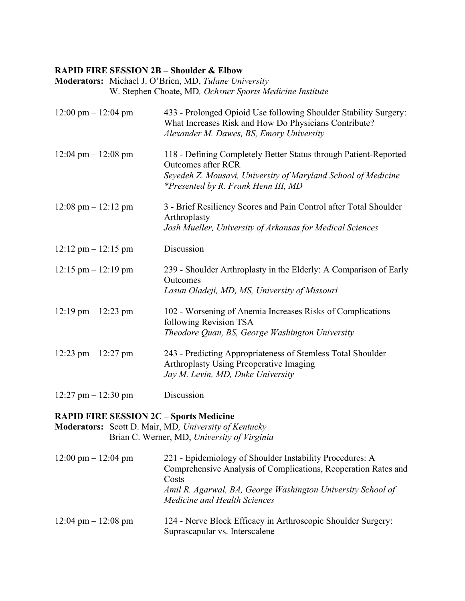## **RAPID FIRE SESSION 2B – Shoulder & Elbow**

**Moderators:** Michael J. O'Brien, MD, *Tulane University* W. Stephen Choate, MD*, Ochsner Sports Medicine Institute*

| $12:00 \text{ pm} - 12:04 \text{ pm}$                                                                          | 433 - Prolonged Opioid Use following Shoulder Stability Surgery:<br>What Increases Risk and How Do Physicians Contribute?<br>Alexander M. Dawes, BS, Emory University                                        |
|----------------------------------------------------------------------------------------------------------------|--------------------------------------------------------------------------------------------------------------------------------------------------------------------------------------------------------------|
| $12:04 \text{ pm} - 12:08 \text{ pm}$                                                                          | 118 - Defining Completely Better Status through Patient-Reported<br><b>Outcomes after RCR</b><br>Seyedeh Z. Mousavi, University of Maryland School of Medicine<br><i>*Presented by R. Frank Henn III, MD</i> |
| $12:08 \text{ pm} - 12:12 \text{ pm}$                                                                          | 3 - Brief Resiliency Scores and Pain Control after Total Shoulder<br>Arthroplasty<br>Josh Mueller, University of Arkansas for Medical Sciences                                                               |
| $12:12$ pm $-12:15$ pm                                                                                         | Discussion                                                                                                                                                                                                   |
| $12:15$ pm $- 12:19$ pm                                                                                        | 239 - Shoulder Arthroplasty in the Elderly: A Comparison of Early<br>Outcomes<br>Lasun Oladeji, MD, MS, University of Missouri                                                                               |
| $12:19$ pm $- 12:23$ pm                                                                                        | 102 - Worsening of Anemia Increases Risks of Complications<br>following Revision TSA<br>Theodore Quan, BS, George Washington University                                                                      |
| 12:23 pm $-$ 12:27 pm                                                                                          | 243 - Predicting Appropriateness of Stemless Total Shoulder<br>Arthroplasty Using Preoperative Imaging<br>Jay M. Levin, MD, Duke University                                                                  |
| $12:27$ pm $- 12:30$ pm                                                                                        | Discussion                                                                                                                                                                                                   |
| <b>RAPID FIRE SESSION 2C - Sports Medicine</b><br><b>Moderators:</b> Scott D. Mair, MD, University of Kentucky | Brian C. Werner, MD, University of Virginia                                                                                                                                                                  |

| $12:00 \text{ pm} - 12:04 \text{ pm}$ | 221 - Epidemiology of Shoulder Instability Procedures: A<br>Comprehensive Analysis of Complications, Reoperation Rates and<br>Costs<br>Amil R. Agarwal, BA, George Washington University School of<br>Medicine and Health Sciences |
|---------------------------------------|------------------------------------------------------------------------------------------------------------------------------------------------------------------------------------------------------------------------------------|
| $12:04 \text{ pm} - 12:08 \text{ pm}$ | 124 - Nerve Block Efficacy in Arthroscopic Shoulder Surgery:<br>Suprascapular vs. Interscalene                                                                                                                                     |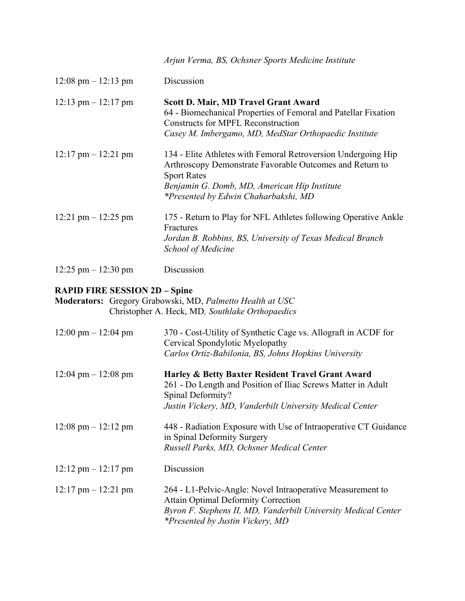|                                       | Arjun Verma, BS, Ochsner Sports Medicine Institute                                                                                                                                                                                      |
|---------------------------------------|-----------------------------------------------------------------------------------------------------------------------------------------------------------------------------------------------------------------------------------------|
| $12:08 \text{ pm} - 12:13 \text{ pm}$ | Discussion                                                                                                                                                                                                                              |
| $12:13$ pm $-12:17$ pm                | <b>Scott D. Mair, MD Travel Grant Award</b><br>64 - Biomechanical Properties of Femoral and Patellar Fixation<br><b>Constructs for MPFL Reconstruction</b><br>Casey M. Imbergamo, MD, MedStar Orthopaedic Institute                     |
| $12:17$ pm $- 12:21$ pm               | 134 - Elite Athletes with Femoral Retroversion Undergoing Hip<br>Arthroscopy Demonstrate Favorable Outcomes and Return to<br><b>Sport Rates</b><br>Benjamin G. Domb, MD, American Hip Institute<br>*Presented by Edwin Chaharbakshi, MD |
| 12:21 pm $-$ 12:25 pm                 | 175 - Return to Play for NFL Athletes following Operative Ankle<br>Fractures<br>Jordan B. Robbins, BS, University of Texas Medical Branch<br>School of Medicine                                                                         |
| $12:25$ pm $-12:30$ pm                | Discussion                                                                                                                                                                                                                              |
| <b>RAPID FIRE SESSION 2D - Spine</b>  | Moderators: Gregory Grabowski, MD, Palmetto Health at USC<br>Christopher A. Heck, MD, Southlake Orthopaedics                                                                                                                            |
| $12:00 \text{ pm} - 12:04 \text{ pm}$ | 370 - Cost-Utility of Synthetic Cage vs. Allograft in ACDF for<br>Cervical Spondylotic Myelopathy<br>Carlos Ortiz-Babilonia, BS, Johns Hopkins University                                                                               |
| $12:04 \text{ pm} - 12:08 \text{ pm}$ | Harley & Betty Baxter Resident Travel Grant Award<br>261 - Do Length and Position of Iliac Screws Matter in Adult<br>Spinal Deformity?<br>Justin Vickery, MD, Vanderbilt University Medical Center                                      |
| $12:08 \text{ pm} - 12:12 \text{ pm}$ | 448 - Radiation Exposure with Use of Intraoperative CT Guidance<br>in Spinal Deformity Surgery<br>Russell Parks, MD, Ochsner Medical Center                                                                                             |
| $12:12 \text{ pm} - 12:17 \text{ pm}$ | Discussion                                                                                                                                                                                                                              |
| $12:17$ pm $-12:21$ pm                | 264 - L1-Pelvic-Angle: Novel Intraoperative Measurement to<br><b>Attain Optimal Deformity Correction</b><br>Byron F. Stephens II, MD, Vanderbilt University Medical Center<br><i>*Presented by Justin Vickery, MD</i>                   |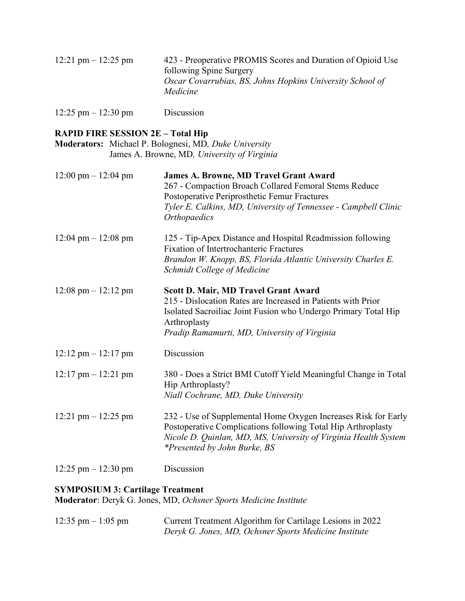| $12:21 \text{ pm} - 12:25 \text{ pm}$ | 423 - Preoperative PROMIS Scores and Duration of Opioid Use |
|---------------------------------------|-------------------------------------------------------------|
|                                       | following Spine Surgery                                     |
|                                       | Oscar Covarrubias, BS, Johns Hopkins University School of   |
|                                       | Medicine                                                    |
|                                       |                                                             |

 $12:25 \text{ pm} - 12:30 \text{ pm}$  Discussion

## **RAPID FIRE SESSION 2E – Total Hip**

**Moderators:** Michael P. Bolognesi, MD*, Duke University* James A. Browne, MD*, University of Virginia*

| $12:00 \text{ pm} - 12:04 \text{ pm}$ | <b>James A. Browne, MD Travel Grant Award</b><br>267 - Compaction Broach Collared Femoral Stems Reduce<br>Postoperative Periprosthetic Femur Fractures<br>Tyler E. Calkins, MD, University of Tennessee - Campbell Clinic<br>Orthopaedics     |
|---------------------------------------|-----------------------------------------------------------------------------------------------------------------------------------------------------------------------------------------------------------------------------------------------|
| $12:04 \text{ pm} - 12:08 \text{ pm}$ | 125 - Tip-Apex Distance and Hospital Readmission following<br><b>Fixation of Intertrochanteric Fractures</b><br>Brandon W. Knopp, BS, Florida Atlantic University Charles E.<br>Schmidt College of Medicine                                   |
| $12:08 \text{ pm} - 12:12 \text{ pm}$ | <b>Scott D. Mair, MD Travel Grant Award</b><br>215 - Dislocation Rates are Increased in Patients with Prior<br>Isolated Sacroiliac Joint Fusion who Undergo Primary Total Hip<br>Arthroplasty<br>Pradip Ramamurti, MD, University of Virginia |
| $12:12 \text{ pm} - 12:17 \text{ pm}$ | Discussion                                                                                                                                                                                                                                    |
| $12:17$ pm $- 12:21$ pm               | 380 - Does a Strict BMI Cutoff Yield Meaningful Change in Total<br>Hip Arthroplasty?<br>Niall Cochrane, MD, Duke University                                                                                                                   |
| 12:21 pm $-$ 12:25 pm                 | 232 - Use of Supplemental Home Oxygen Increases Risk for Early<br>Postoperative Complications following Total Hip Arthroplasty<br>Nicole D. Quinlan, MD, MS, University of Virginia Health System<br><i>*Presented by John Burke, BS</i>      |
| $12:25$ pm $-12:30$ pm                | Discussion                                                                                                                                                                                                                                    |

## **SYMPOSIUM 3: Cartilage Treatment**

**Moderator**: Deryk G. Jones, MD, *Ochsner Sports Medicine Institute*

| $12:35$ pm $-1:05$ pm | Current Treatment Algorithm for Cartilage Lesions in 2022 |
|-----------------------|-----------------------------------------------------------|
|                       | Deryk G. Jones, MD, Ochsner Sports Medicine Institute     |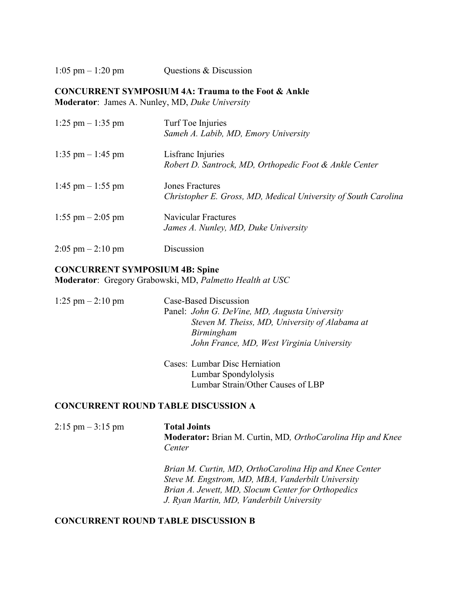1:05 pm – 1:20 pm – Questions & Discussion

**CONCURRENT SYMPOSIUM 4A: Trauma to the Foot & Ankle Moderator**: James A. Nunley, MD, *Duke University*

| $1:25$ pm $-1:35$ pm                | Turf Toe Injuries<br>Sameh A. Labib, MD, Emory University                                |
|-------------------------------------|------------------------------------------------------------------------------------------|
| $1:35$ pm $-1:45$ pm                | Lisfranc Injuries<br>Robert D. Santrock, MD, Orthopedic Foot & Ankle Center              |
| $1:45$ pm $-1:55$ pm                | <b>Jones Fractures</b><br>Christopher E. Gross, MD, Medical University of South Carolina |
| $1:55$ pm $-2:05$ pm                | <b>Navicular Fractures</b><br>James A. Nunley, MD, Duke University                       |
| $2:05 \text{ pm} - 2:10 \text{ pm}$ | Discussion                                                                               |

#### **CONCURRENT SYMPOSIUM 4B: Spine**

**Moderator**: Gregory Grabowski, MD, *Palmetto Health at USC*

| $1:25$ pm $-2:10$ pm | Case-Based Discussion                          |
|----------------------|------------------------------------------------|
|                      | Panel: John G. DeVine, MD, Augusta University  |
|                      | Steven M. Theiss, MD, University of Alabama at |
|                      | Birmingham                                     |
|                      | John France, MD, West Virginia University      |
|                      | <b>Cases: Lumbar Disc Herniation</b>           |
|                      | Lumbar Spondylolysis                           |
|                      | Lumbar Strain/Other Causes of LBP              |

#### **CONCURRENT ROUND TABLE DISCUSSION A**

2:15 pm – 3:15 pm **Total Joints Moderator:** Brian M. Curtin, MD*, OrthoCarolina Hip and Knee Center Brian M. Curtin, MD, OrthoCarolina Hip and Knee Center Steve M. Engstrom, MD, MBA, Vanderbilt University Brian A. Jewett, MD, Slocum Center for Orthopedics J. Ryan Martin, MD, Vanderbilt University*

#### **CONCURRENT ROUND TABLE DISCUSSION B**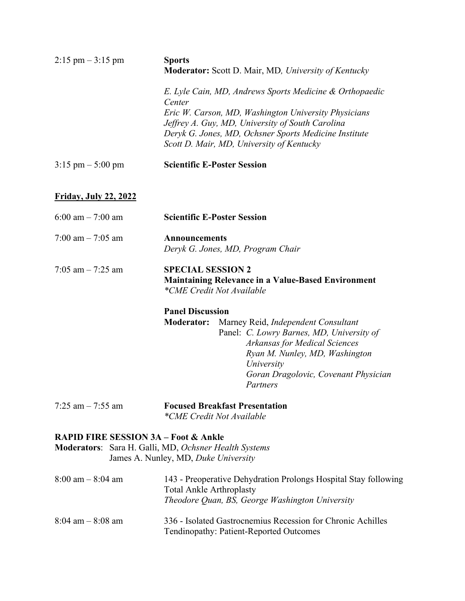| $2:15$ pm $-3:15$ pm                            | <b>Sports</b><br><b>Moderator:</b> Scott D. Mair, MD, University of Kentucky                       |
|-------------------------------------------------|----------------------------------------------------------------------------------------------------|
|                                                 | E. Lyle Cain, MD, Andrews Sports Medicine & Orthopaedic<br>Center                                  |
|                                                 | Eric W. Carson, MD, Washington University Physicians                                               |
|                                                 | Jeffrey A. Guy, MD, University of South Carolina                                                   |
|                                                 | Deryk G. Jones, MD, Ochsner Sports Medicine Institute<br>Scott D. Mair, MD, University of Kentucky |
| $3:15 \text{ pm} - 5:00 \text{ pm}$             | <b>Scientific E-Poster Session</b>                                                                 |
| <b>Friday, July 22, 2022</b>                    |                                                                                                    |
| $6:00$ am $-7:00$ am                            | <b>Scientific E-Poster Session</b>                                                                 |
| 7:00 am $-$ 7:05 am                             | Announcements                                                                                      |
|                                                 | Deryk G. Jones, MD, Program Chair                                                                  |
| 7:05 am $-$ 7:25 am                             | <b>SPECIAL SESSION 2</b>                                                                           |
|                                                 | <b>Maintaining Relevance in a Value-Based Environment</b><br><i>*CME Credit Not Available</i>      |
|                                                 | <b>Panel Discussion</b>                                                                            |
|                                                 | Marney Reid, Independent Consultant<br><b>Moderator:</b>                                           |
|                                                 | Panel: C. Lowry Barnes, MD, University of                                                          |
|                                                 | <b>Arkansas for Medical Sciences</b><br>Ryan M. Nunley, MD, Washington                             |
|                                                 | University                                                                                         |
|                                                 | Goran Dragolovic, Covenant Physician                                                               |
|                                                 | Partners                                                                                           |
| 7:25 am $-$ 7:55 am                             | <b>Focused Breakfast Presentation</b><br><i>*CME Credit Not Available</i>                          |
| <b>RAPID FIRE SESSION 3A - Foot &amp; Ankle</b> |                                                                                                    |
|                                                 | Moderators: Sara H. Galli, MD, Ochsner Health Systems<br>James A. Nunley, MD, Duke University      |
| $8:00$ am $-8:04$ am                            | 143 - Preoperative Dehydration Prolongs Hospital Stay following                                    |
|                                                 | <b>Total Ankle Arthroplasty</b><br>Theodore Quan, BS, George Washington University                 |
| $8:04 \text{ am} - 8:08 \text{ am}$             | 336 - Isolated Gastrocnemius Recession for Chronic Achilles                                        |
|                                                 | Tendinopathy: Patient-Reported Outcomes                                                            |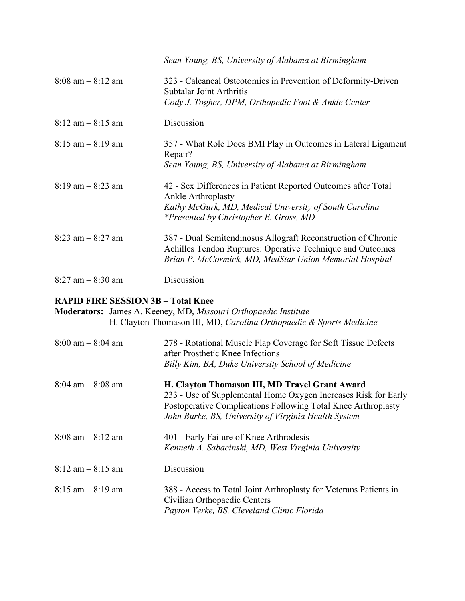|                                           | Sean Young, BS, University of Alabama at Birmingham                                                                                                                                                                                       |
|-------------------------------------------|-------------------------------------------------------------------------------------------------------------------------------------------------------------------------------------------------------------------------------------------|
| $8:08$ am $-8:12$ am                      | 323 - Calcaneal Osteotomies in Prevention of Deformity-Driven<br>Subtalar Joint Arthritis<br>Cody J. Togher, DPM, Orthopedic Foot & Ankle Center                                                                                          |
| $8:12$ am $-8:15$ am                      | Discussion                                                                                                                                                                                                                                |
| $8:15$ am $-8:19$ am                      | 357 - What Role Does BMI Play in Outcomes in Lateral Ligament<br>Repair?<br>Sean Young, BS, University of Alabama at Birmingham                                                                                                           |
| $8:19$ am $-8:23$ am                      | 42 - Sex Differences in Patient Reported Outcomes after Total<br>Ankle Arthroplasty<br>Kathy McGurk, MD, Medical University of South Carolina<br>*Presented by Christopher E. Gross, MD                                                   |
| $8:23$ am $-8:27$ am                      | 387 - Dual Semitendinosus Allograft Reconstruction of Chronic<br>Achilles Tendon Ruptures: Operative Technique and Outcomes<br>Brian P. McCormick, MD, MedStar Union Memorial Hospital                                                    |
| $8:27$ am $-8:30$ am                      | Discussion                                                                                                                                                                                                                                |
| <b>RAPID FIRE SESSION 3B - Total Knee</b> | <b>Moderators:</b> James A. Keeney, MD, Missouri Orthopaedic Institute<br>H. Clayton Thomason III, MD, Carolina Orthopaedic & Sports Medicine                                                                                             |
| $8:00$ am $-8:04$ am                      | 278 - Rotational Muscle Flap Coverage for Soft Tissue Defects<br>after Prosthetic Knee Infections<br>Billy Kim, BA, Duke University School of Medicine                                                                                    |
| $8:04$ am $-8:08$ am                      | H. Clayton Thomason III, MD Travel Grant Award<br>233 - Use of Supplemental Home Oxygen Increases Risk for Early<br>Postoperative Complications Following Total Knee Arthroplasty<br>John Burke, BS, University of Virginia Health System |
| $8:08$ am $-8:12$ am                      | 401 - Early Failure of Knee Arthrodesis<br>Kenneth A. Sabacinski, MD, West Virginia University                                                                                                                                            |
| $8:12$ am $-8:15$ am                      | Discussion                                                                                                                                                                                                                                |
| $8:15$ am $-8:19$ am                      | 388 - Access to Total Joint Arthroplasty for Veterans Patients in                                                                                                                                                                         |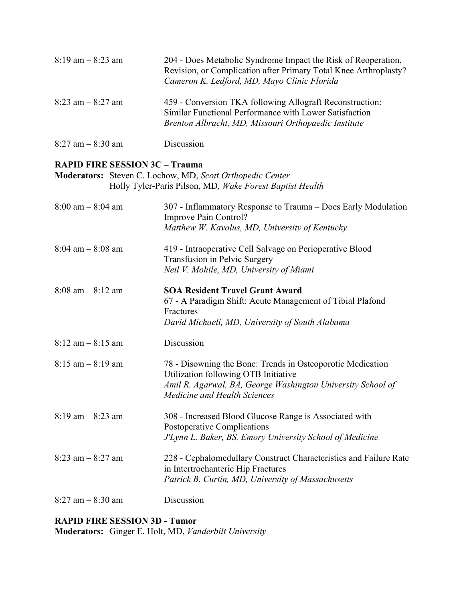| $8:19$ am $-8:23$ am | 204 - Does Metabolic Syndrome Impact the Risk of Reoperation,<br>Revision, or Complication after Primary Total Knee Arthroplasty?<br>Cameron K. Ledford, MD, Mayo Clinic Florida |
|----------------------|----------------------------------------------------------------------------------------------------------------------------------------------------------------------------------|
| $8:23$ am $-8:27$ am | 459 - Conversion TKA following Allograft Reconstruction:<br>Similar Functional Performance with Lower Satisfaction<br>Brenton Albracht, MD, Missouri Orthopaedic Institute       |
| $8:27$ am $-8:30$ am | Discussion                                                                                                                                                                       |

#### **RAPID FIRE SESSION 3C – Trauma**

**Moderators:** Steven C. Lochow, MD, *Scott Orthopedic Center* Holly Tyler-Paris Pilson, MD*, Wake Forest Baptist Health*

| $8:00$ am $-8:04$ am                | 307 - Inflammatory Response to Trauma - Does Early Modulation<br>Improve Pain Control?<br>Matthew W. Kavolus, MD, University of Kentucky                                                          |
|-------------------------------------|---------------------------------------------------------------------------------------------------------------------------------------------------------------------------------------------------|
| $8:04 \text{ am} - 8:08 \text{ am}$ | 419 - Intraoperative Cell Salvage on Perioperative Blood<br>Transfusion in Pelvic Surgery<br>Neil V. Mohile, MD, University of Miami                                                              |
| $8:08$ am $-8:12$ am                | <b>SOA Resident Travel Grant Award</b><br>67 - A Paradigm Shift: Acute Management of Tibial Plafond<br>Fractures<br>David Michaeli, MD, University of South Alabama                               |
| $8:12$ am $-8:15$ am                | Discussion                                                                                                                                                                                        |
| $8:15$ am $-8:19$ am                | 78 - Disowning the Bone: Trends in Osteoporotic Medication<br>Utilization following OTB Initiative<br>Amil R. Agarwal, BA, George Washington University School of<br>Medicine and Health Sciences |
| $8:19$ am $-8:23$ am                | 308 - Increased Blood Glucose Range is Associated with<br>Postoperative Complications<br>J'Lynn L. Baker, BS, Emory University School of Medicine                                                 |
| $8:23$ am $-8:27$ am                | 228 - Cephalomedullary Construct Characteristics and Failure Rate<br>in Intertrochanteric Hip Fractures<br>Patrick B. Curtin, MD, University of Massachusetts                                     |
| $8:27$ am $-8:30$ am                | Discussion                                                                                                                                                                                        |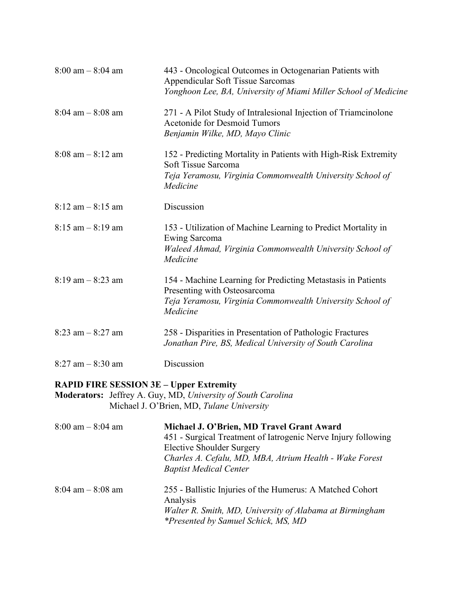| $8:00$ am $-8:04$ am                | 443 - Oncological Outcomes in Octogenarian Patients with<br>Appendicular Soft Tissue Sarcomas<br>Yonghoon Lee, BA, University of Miami Miller School of Medicine      |
|-------------------------------------|-----------------------------------------------------------------------------------------------------------------------------------------------------------------------|
| $8:04 \text{ am} - 8:08 \text{ am}$ | 271 - A Pilot Study of Intralesional Injection of Triamcinolone<br><b>Acetonide for Desmoid Tumors</b><br>Benjamin Wilke, MD, Mayo Clinic                             |
| $8:08$ am $-8:12$ am                | 152 - Predicting Mortality in Patients with High-Risk Extremity<br>Soft Tissue Sarcoma<br>Teja Yeramosu, Virginia Commonwealth University School of<br>Medicine       |
| $8:12$ am $-8:15$ am                | Discussion                                                                                                                                                            |
| $8:15$ am $-8:19$ am                | 153 - Utilization of Machine Learning to Predict Mortality in<br>Ewing Sarcoma<br>Waleed Ahmad, Virginia Commonwealth University School of<br>Medicine                |
| $8:19$ am $-8:23$ am                | 154 - Machine Learning for Predicting Metastasis in Patients<br>Presenting with Osteosarcoma<br>Teja Yeramosu, Virginia Commonwealth University School of<br>Medicine |
| $8:23$ am $-8:27$ am                | 258 - Disparities in Presentation of Pathologic Fractures<br>Jonathan Pire, BS, Medical University of South Carolina                                                  |
| $8:27$ am $-8:30$ am                | Discussion                                                                                                                                                            |

# **RAPID FIRE SESSION 3E – Upper Extremity**

**Moderators:** Jeffrey A. Guy, MD, *University of South Carolina* Michael J. O'Brien, MD, *Tulane University*

| $8:00 \text{ am} - 8:04 \text{ am}$ | Michael J. O'Brien, MD Travel Grant Award<br>451 - Surgical Treatment of Iatrogenic Nerve Injury following<br><b>Elective Shoulder Surgery</b><br>Charles A. Cefalu, MD, MBA, Atrium Health - Wake Forest<br><b>Baptist Medical Center</b> |
|-------------------------------------|--------------------------------------------------------------------------------------------------------------------------------------------------------------------------------------------------------------------------------------------|
| $8:04 \text{ am} - 8:08 \text{ am}$ | 255 - Ballistic Injuries of the Humerus: A Matched Cohort<br>Analysis<br>Walter R. Smith, MD, University of Alabama at Birmingham<br><i>*Presented by Samuel Schick, MS, MD</i>                                                            |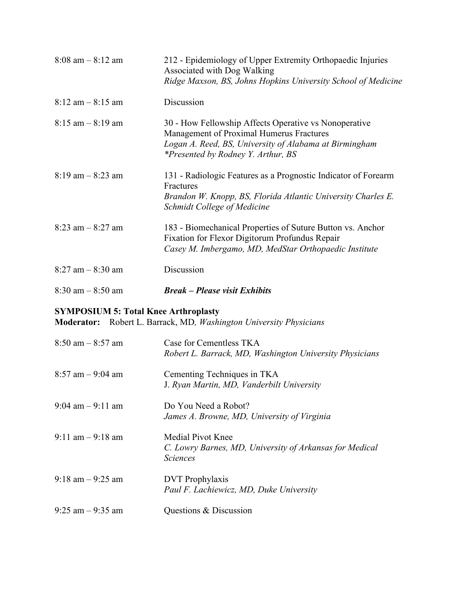| $8:08$ am $-8:12$ am                | 212 - Epidemiology of Upper Extremity Orthopaedic Injuries<br>Associated with Dog Walking<br>Ridge Maxson, BS, Johns Hopkins University School of Medicine                                               |
|-------------------------------------|----------------------------------------------------------------------------------------------------------------------------------------------------------------------------------------------------------|
| $8:12 \text{ am} - 8:15 \text{ am}$ | Discussion                                                                                                                                                                                               |
| $8:15$ am $-8:19$ am                | 30 - How Fellowship Affects Operative vs Nonoperative<br>Management of Proximal Humerus Fractures<br>Logan A. Reed, BS, University of Alabama at Birmingham<br><i>*Presented by Rodney Y. Arthur, BS</i> |
| $8:19$ am $-8:23$ am                | 131 - Radiologic Features as a Prognostic Indicator of Forearm<br>Fractures<br>Brandon W. Knopp, BS, Florida Atlantic University Charles E.<br>Schmidt College of Medicine                               |
| $8:23$ am $-8:27$ am                | 183 - Biomechanical Properties of Suture Button vs. Anchor<br>Fixation for Flexor Digitorum Profundus Repair<br>Casey M. Imbergamo, MD, MedStar Orthopaedic Institute                                    |
| $8:27$ am $-8:30$ am                | Discussion                                                                                                                                                                                               |
| $8:30$ am $-8:50$ am                | <b>Break – Please visit Exhibits</b>                                                                                                                                                                     |
|                                     |                                                                                                                                                                                                          |

## **SYMPOSIUM 5: Total Knee Arthroplasty**

**Moderator:** Robert L. Barrack, MD*, Washington University Physicians*

| $8:50$ am $-8:57$ am                | Case for Cementless TKA<br>Robert L. Barrack, MD, Washington University Physicians       |
|-------------------------------------|------------------------------------------------------------------------------------------|
| $8:57$ am $-9:04$ am                | Cementing Techniques in TKA<br>J. Ryan Martin, MD, Vanderbilt University                 |
| $9:04 \text{ am} - 9:11 \text{ am}$ | Do You Need a Robot?<br>James A. Browne, MD, University of Virginia                      |
| $9:11$ am $-9:18$ am                | Medial Pivot Knee<br>C. Lowry Barnes, MD, University of Arkansas for Medical<br>Sciences |
| $9:18$ am $-9:25$ am                | <b>DVT</b> Prophylaxis<br>Paul F. Lachiewicz, MD, Duke University                        |
| $9:25$ am $-9:35$ am                | Questions & Discussion                                                                   |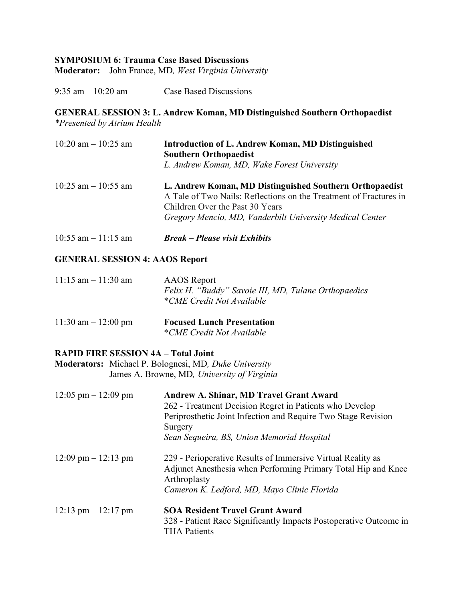#### **SYMPOSIUM 6: Trauma Case Based Discussions**

**Moderator:** John France, MD*, West Virginia University*

9:35 am – 10:20 am Case Based Discussions

#### **GENERAL SESSION 3: L. Andrew Koman, MD Distinguished Southern Orthopaedist** *\*Presented by Atrium Health*

- 10:20 am 10:25 am **Introduction of L. Andrew Koman, MD Distinguished Southern Orthopaedist** *L. Andrew Koman, MD, Wake Forest University* 10:25 am – 10:55 am **L. Andrew Koman, MD Distinguished Southern Orthopaedist** A Tale of Two Nails: Reflections on the Treatment of Fractures in Children Over the Past 30 Years
	- *Gregory Mencio, MD, Vanderbilt University Medical Center*
- 10:55 am 11:15 am *Break – Please visit Exhibits*

#### **GENERAL SESSION 4: AAOS Report**

| $11:15$ am $-11:30$ am | AAOS Report<br>Felix H. "Buddy" Savoie III, MD, Tulane Orthopaedics |
|------------------------|---------------------------------------------------------------------|
|                        | <i>*CME Credit Not Available</i>                                    |

11:30 am – 12:00 pm **Focused Lunch Presentation** \**CME Credit Not Available*

#### **RAPID FIRE SESSION 4A – Total Joint**

- **Moderators:** Michael P. Bolognesi, MD*, Duke University* James A. Browne, MD*, University of Virginia*
- 12:05 pm 12:09 pm **Andrew A. Shinar, MD Travel Grant Award** 262 - Treatment Decision Regret in Patients who Develop Periprosthetic Joint Infection and Require Two Stage Revision Surgery *Sean Sequeira, BS, Union Memorial Hospital* 12:09 pm – 12:13 pm 229 - Perioperative Results of Immersive Virtual Reality as Adjunct Anesthesia when Performing Primary Total Hip and Knee Arthroplasty *Cameron K. Ledford, MD, Mayo Clinic Florida* 12:13 pm – 12:17 pm **SOA Resident Travel Grant Award** 328 - Patient Race Significantly Impacts Postoperative Outcome in THA Patients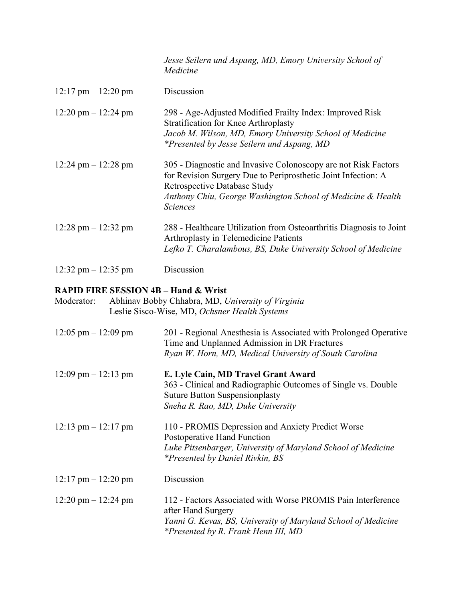|                                       | Jesse Seilern und Aspang, MD, Emory University School of<br>Medicine                                                                                                                                                                              |
|---------------------------------------|---------------------------------------------------------------------------------------------------------------------------------------------------------------------------------------------------------------------------------------------------|
| $12:17$ pm $- 12:20$ pm               | Discussion                                                                                                                                                                                                                                        |
| $12:20 \text{ pm} - 12:24 \text{ pm}$ | 298 - Age-Adjusted Modified Frailty Index: Improved Risk<br>Stratification for Knee Arthroplasty<br>Jacob M. Wilson, MD, Emory University School of Medicine<br>*Presented by Jesse Seilern und Aspang, MD                                        |
| $12:24 \text{ pm} - 12:28 \text{ pm}$ | 305 - Diagnostic and Invasive Colonoscopy are not Risk Factors<br>for Revision Surgery Due to Periprosthetic Joint Infection: A<br>Retrospective Database Study<br>Anthony Chiu, George Washington School of Medicine & Health<br><b>Sciences</b> |
| $12:28 \text{ pm} - 12:32 \text{ pm}$ | 288 - Healthcare Utilization from Osteoarthritis Diagnosis to Joint<br>Arthroplasty in Telemedicine Patients<br>Lefko T. Charalambous, BS, Duke University School of Medicine                                                                     |
| $12:32 \text{ pm} - 12:35 \text{ pm}$ | Discussion                                                                                                                                                                                                                                        |

# **RAPID FIRE SESSION 4B – Hand & Wrist**

| Moderator: | Abhinav Bobby Chhabra, MD, University of Virginia |
|------------|---------------------------------------------------|
|            | Leslie Sisco-Wise, MD, Ochsner Health Systems     |

| $12:05$ pm $- 12:09$ pm               | 201 - Regional Anesthesia is Associated with Prolonged Operative<br>Time and Unplanned Admission in DR Fractures<br>Ryan W. Horn, MD, Medical University of South Carolina                 |
|---------------------------------------|--------------------------------------------------------------------------------------------------------------------------------------------------------------------------------------------|
| $12:09$ pm $-12:13$ pm                | E. Lyle Cain, MD Travel Grant Award<br>363 - Clinical and Radiographic Outcomes of Single vs. Double<br><b>Suture Button Suspensionplasty</b><br>Sneha R. Rao, MD, Duke University         |
| $12:13$ pm $-12:17$ pm                | 110 - PROMIS Depression and Anxiety Predict Worse<br>Postoperative Hand Function<br>Luke Pitsenbarger, University of Maryland School of Medicine<br><i>*Presented by Daniel Rivkin, BS</i> |
| $12:17$ pm $- 12:20$ pm               | Discussion                                                                                                                                                                                 |
| $12:20 \text{ pm} - 12:24 \text{ pm}$ | 112 - Factors Associated with Worse PROMIS Pain Interference<br>after Hand Surgery<br>Yanni G. Kevas, BS, University of Maryland School of Medicine<br>*Presented by R. Frank Henn III, MD |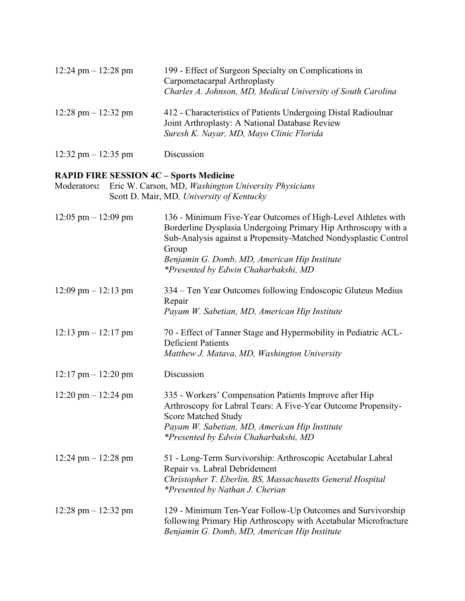| 12:24 pm $-$ 12:28 pm                 | 199 - Effect of Surgeon Specialty on Complications in<br>Carpometacarpal Arthroplasty<br>Charles A. Johnson, MD, Medical University of South Carolina        |
|---------------------------------------|--------------------------------------------------------------------------------------------------------------------------------------------------------------|
| $12:28 \text{ pm} - 12:32 \text{ pm}$ | 412 - Characteristics of Patients Undergoing Distal Radioulnar<br>Joint Arthroplasty: A National Database Review<br>Suresh K. Nayar, MD, Mayo Clinic Florida |
| 12:32 pm $-$ 12:35 pm                 | Discussion                                                                                                                                                   |

# **RAPID FIRE SESSION 4C – Sports Medicine**

Moderators**:** Eric W. Carson, MD, *Washington University Physicians* Scott D. Mair, MD*, University of Kentucky*

| $12:05$ pm $- 12:09$ pm               | 136 - Minimum Five-Year Outcomes of High-Level Athletes with<br>Borderline Dysplasia Undergoing Primary Hip Arthroscopy with a<br>Sub-Analysis against a Propensity-Matched Nondysplastic Control<br>Group<br>Benjamin G. Domb, MD, American Hip Institute<br>*Presented by Edwin Chaharbakshi, MD |
|---------------------------------------|----------------------------------------------------------------------------------------------------------------------------------------------------------------------------------------------------------------------------------------------------------------------------------------------------|
| $12:09$ pm $- 12:13$ pm               | 334 – Ten Year Outcomes following Endoscopic Gluteus Medius<br>Repair<br>Payam W. Sabetian, MD, American Hip Institute                                                                                                                                                                             |
| $12:13$ pm $- 12:17$ pm               | 70 - Effect of Tanner Stage and Hypermobility in Pediatric ACL-<br><b>Deficient Patients</b><br>Matthew J. Matava, MD, Washington University                                                                                                                                                       |
| $12:17$ pm $-12:20$ pm                | Discussion                                                                                                                                                                                                                                                                                         |
| $12:20 \text{ pm} - 12:24 \text{ pm}$ | 335 - Workers' Compensation Patients Improve after Hip<br>Arthroscopy for Labral Tears: A Five-Year Outcome Propensity-<br><b>Score Matched Study</b><br>Payam W. Sabetian, MD, American Hip Institute<br>*Presented by Edwin Chaharbakshi, MD                                                     |
| $12:24 \text{ pm} - 12:28 \text{ pm}$ | 51 - Long-Term Survivorship: Arthroscopic Acetabular Labral<br>Repair vs. Labral Debridement<br>Christopher T. Eberlin, BS, Massachusetts General Hospital<br>*Presented by Nathan J. Cherian                                                                                                      |
| $12:28 \text{ pm} - 12:32 \text{ pm}$ | 129 - Minimum Ten-Year Follow-Up Outcomes and Survivorship<br>following Primary Hip Arthroscopy with Acetabular Microfracture<br>Benjamin G. Domb, MD, American Hip Institute                                                                                                                      |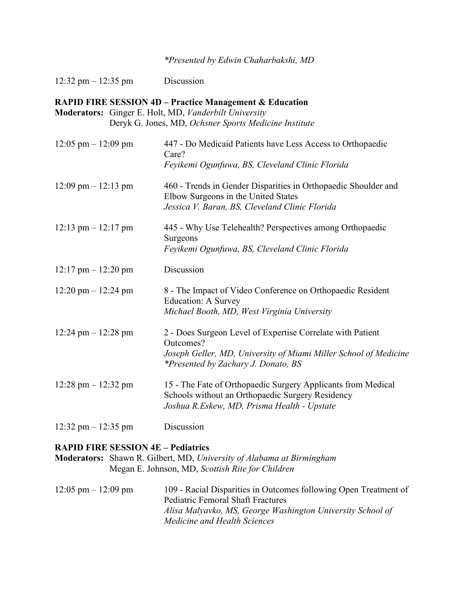*\*Presented by Edwin Chaharbakshi, MD* 

12:32 pm – 12:35 pm Discussion

| <b>RAPID FIRE SESSION 4D – Practice Management &amp; Education</b><br>Moderators: Ginger E. Holt, MD, Vanderbilt University<br>Deryk G. Jones, MD, Ochsner Sports Medicine Institute |                                                                                                                                                                                    |  |
|--------------------------------------------------------------------------------------------------------------------------------------------------------------------------------------|------------------------------------------------------------------------------------------------------------------------------------------------------------------------------------|--|
| $12:05$ pm $- 12:09$ pm                                                                                                                                                              | 447 - Do Medicaid Patients have Less Access to Orthopaedic<br>Care?<br>Feyikemi Ogunfuwa, BS, Cleveland Clinic Florida                                                             |  |
| $12:09$ pm $- 12:13$ pm                                                                                                                                                              | 460 - Trends in Gender Disparities in Orthopaedic Shoulder and<br>Elbow Surgeons in the United States<br>Jessica V. Baran, BS, Cleveland Clinic Florida                            |  |
| $12:13$ pm $- 12:17$ pm                                                                                                                                                              | 445 - Why Use Telehealth? Perspectives among Orthopaedic<br>Surgeons<br>Feyikemi Ogunfuwa, BS, Cleveland Clinic Florida                                                            |  |
| $12:17$ pm $- 12:20$ pm                                                                                                                                                              | Discussion                                                                                                                                                                         |  |
| 12:20 pm $-$ 12:24 pm                                                                                                                                                                | 8 - The Impact of Video Conference on Orthopaedic Resident<br><b>Education: A Survey</b><br>Michael Booth, MD, West Virginia University                                            |  |
| 12:24 pm $- 12:28$ pm                                                                                                                                                                | 2 - Does Surgeon Level of Expertise Correlate with Patient<br>Outcomes?<br>Joseph Geller, MD, University of Miami Miller School of Medicine<br>*Presented by Zachary J. Donato, BS |  |
| $12:28 \text{ pm} - 12:32 \text{ pm}$                                                                                                                                                | 15 - The Fate of Orthopaedic Surgery Applicants from Medical<br>Schools without an Orthopaedic Surgery Residency<br>Joshua R.Eskew, MD, Prisma Health - Upstate                    |  |
| $12:32$ pm $-12:35$ pm                                                                                                                                                               | Discussion                                                                                                                                                                         |  |

## **RAPID FIRE SESSION 4E – Pediatrics**

**Moderators:** Shawn R. Gilbert, MD, *University of Alabama at Birmingham* Megan E. Johnson, MD, *Scottish Rite for Children*

| $12:05$ pm $-12:09$ pm | 109 - Racial Disparities in Outcomes following Open Treatment of |
|------------------------|------------------------------------------------------------------|
|                        | <b>Pediatric Femoral Shaft Fractures</b>                         |
|                        | Alisa Malyavko, MS, George Washington University School of       |
|                        | Medicine and Health Sciences                                     |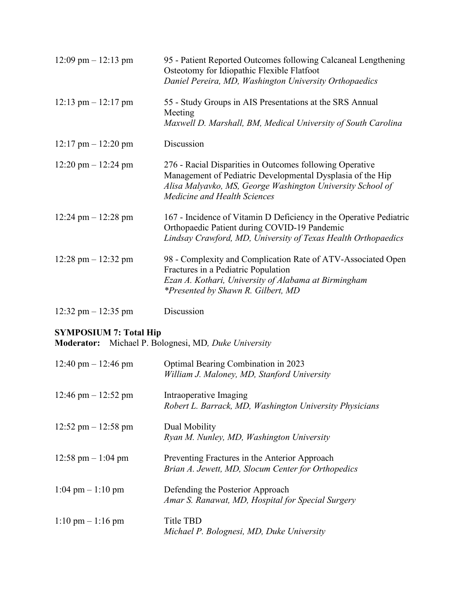| $12:09$ pm $- 12:13$ pm                                                               | 95 - Patient Reported Outcomes following Calcaneal Lengthening<br>Osteotomy for Idiopathic Flexible Flatfoot<br>Daniel Pereira, MD, Washington University Orthopaedics                                               |  |
|---------------------------------------------------------------------------------------|----------------------------------------------------------------------------------------------------------------------------------------------------------------------------------------------------------------------|--|
| 12:13 pm $- 12:17$ pm                                                                 | 55 - Study Groups in AIS Presentations at the SRS Annual<br>Meeting<br>Maxwell D. Marshall, BM, Medical University of South Carolina                                                                                 |  |
| $12:17$ pm $- 12:20$ pm                                                               | Discussion                                                                                                                                                                                                           |  |
| $12:20 \text{ pm} - 12:24 \text{ pm}$                                                 | 276 - Racial Disparities in Outcomes following Operative<br>Management of Pediatric Developmental Dysplasia of the Hip<br>Alisa Malyavko, MS, George Washington University School of<br>Medicine and Health Sciences |  |
| $12:24 \text{ pm} - 12:28 \text{ pm}$                                                 | 167 - Incidence of Vitamin D Deficiency in the Operative Pediatric<br>Orthopaedic Patient during COVID-19 Pandemic<br>Lindsay Crawford, MD, University of Texas Health Orthopaedics                                  |  |
| $12:28 \text{ pm} - 12:32 \text{ pm}$                                                 | 98 - Complexity and Complication Rate of ATV-Associated Open<br>Fractures in a Pediatric Population<br>Ezan A. Kothari, University of Alabama at Birmingham<br><i>*Presented by Shawn R. Gilbert, MD</i>             |  |
| 12:32 pm $-$ 12:35 pm                                                                 | Discussion                                                                                                                                                                                                           |  |
| <b>SYMPOSIUM 7: Total Hip</b><br>Moderator: Michael P. Bolognesi, MD, Duke University |                                                                                                                                                                                                                      |  |
| $12:40 \text{ pm} - 12:46 \text{ pm}$                                                 | Optimal Bearing Combination in 2023<br>William J. Maloney, MD, Stanford University                                                                                                                                   |  |
| $12:46$ pm $- 12:52$ pm                                                               | Intraoperative Imaging<br>Robert L. Barrack, MD, Washington University Physicians                                                                                                                                    |  |
| $12:52$ pm $- 12:58$ pm                                                               | Dual Mobility<br>Ryan M. Nunley, MD, Washington University                                                                                                                                                           |  |
| $12:58 \text{ pm} - 1:04 \text{ pm}$                                                  | Preventing Fractures in the Anterior Approach<br>Brian A. Jewett, MD, Slocum Center for Orthopedics                                                                                                                  |  |
| $1:04 \text{ pm} - 1:10 \text{ pm}$                                                   | Defending the Posterior Approach<br>Amar S. Ranawat, MD, Hospital for Special Surgery                                                                                                                                |  |

 $1:10 \text{ pm} - 1:16 \text{ pm}$  Title TBD *Michael P. Bolognesi, MD, Duke University*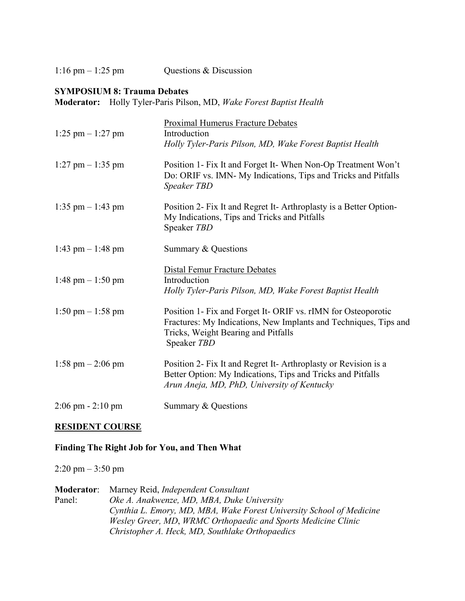1:16 pm – 1:25 pm Questions & Discussion

## **SYMPOSIUM 8: Trauma Debates**

**Moderator:** Holly Tyler-Paris Pilson, MD, *Wake Forest Baptist Health*

| $1:25$ pm $-1:27$ pm                | <b>Proximal Humerus Fracture Debates</b><br>Introduction<br>Holly Tyler-Paris Pilson, MD, Wake Forest Baptist Health                                                                    |
|-------------------------------------|-----------------------------------------------------------------------------------------------------------------------------------------------------------------------------------------|
| $1:27$ pm $-1:35$ pm                | Position 1- Fix It and Forget It- When Non-Op Treatment Won't<br>Do: ORIF vs. IMN- My Indications, Tips and Tricks and Pitfalls<br>Speaker TBD                                          |
| $1:35$ pm $-1:43$ pm                | Position 2- Fix It and Regret It- Arthroplasty is a Better Option-<br>My Indications, Tips and Tricks and Pitfalls<br>Speaker TBD                                                       |
| 1:43 pm $-$ 1:48 pm                 | Summary & Questions                                                                                                                                                                     |
| 1:48 pm $-$ 1:50 pm                 | <b>Distal Femur Fracture Debates</b><br>Introduction<br>Holly Tyler-Paris Pilson, MD, Wake Forest Baptist Health                                                                        |
| $1:50 \text{ pm} - 1:58 \text{ pm}$ | Position 1- Fix and Forget It- ORIF vs. rIMN for Osteoporotic<br>Fractures: My Indications, New Implants and Techniques, Tips and<br>Tricks, Weight Bearing and Pitfalls<br>Speaker TBD |
| $1:58 \text{ pm} - 2:06 \text{ pm}$ | Position 2- Fix It and Regret It-Arthroplasty or Revision is a<br>Better Option: My Indications, Tips and Tricks and Pitfalls<br>Arun Aneja, MD, PhD, University of Kentucky            |
| $2:06 \text{ pm} - 2:10 \text{ pm}$ | Summary & Questions                                                                                                                                                                     |

## **RESIDENT COURSE**

# **Finding The Right Job for You, and Then What**

2:20 pm – 3:50 pm

**Moderator**: Marney Reid, *Independent Consultant* Panel: *Oke A. Anakwenze, MD, MBA, Duke University Cynthia L. Emory, MD, MBA, Wake Forest University School of Medicine Wesley Greer, MD*, *WRMC Orthopaedic and Sports Medicine Clinic Christopher A. Heck, MD, Southlake Orthopaedics*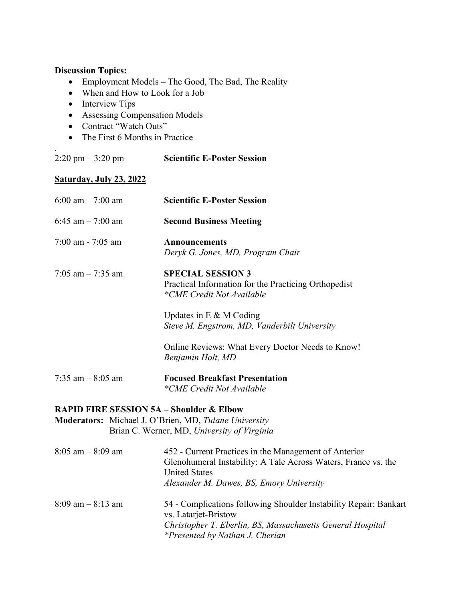## **Discussion Topics:**

- Employment Models The Good, The Bad, The Reality
- When and How to Look for a Job
- Interview Tips
- Assessing Compensation Models
- Contract "Watch Outs"
- The First 6 Months in Practice

| $2:20 \text{ pm} - 3:20 \text{ pm}$ | <b>Scientific E-Poster Session</b> |  |
|-------------------------------------|------------------------------------|--|
|                                     |                                    |  |

# **Saturday, July 23, 2022**

.

| 6:00 am $-$ 7:00 am                                 | <b>Scientific E-Poster Session</b>                                                                                                                                                                                                                                                                                                                                                                  |
|-----------------------------------------------------|-----------------------------------------------------------------------------------------------------------------------------------------------------------------------------------------------------------------------------------------------------------------------------------------------------------------------------------------------------------------------------------------------------|
| 6:45 am $- 7:00$ am                                 | <b>Second Business Meeting</b>                                                                                                                                                                                                                                                                                                                                                                      |
| 7:00 am - 7:05 am                                   | <b>Announcements</b><br>Deryk G. Jones, MD, Program Chair                                                                                                                                                                                                                                                                                                                                           |
| $7:05$ am $-7:35$ am                                | <b>SPECIAL SESSION 3</b><br>Practical Information for the Practicing Orthopedist<br>*CME Credit Not Available                                                                                                                                                                                                                                                                                       |
|                                                     | Updates in $E \& M$ Coding<br>Steve M. Engstrom, MD, Vanderbilt University                                                                                                                                                                                                                                                                                                                          |
|                                                     | Online Reviews: What Every Doctor Needs to Know!<br>Benjamin Holt, MD                                                                                                                                                                                                                                                                                                                               |
| 7:35 am $-8:05$ am                                  | <b>Focused Breakfast Presentation</b><br><i>*CME Credit Not Available</i>                                                                                                                                                                                                                                                                                                                           |
| <b>RAPID FIRE SESSION 5A - Shoulder &amp; Elbow</b> | Moderators: Michael J. O'Brien, MD, Tulane University<br>Brian C. Werner, MD, University of Virginia                                                                                                                                                                                                                                                                                                |
| $8:05$ am $-8:09$ am                                | 452 - Current Practices in the Management of Anterior<br>Glenohumeral Instability: A Tale Across Waters, France vs. the<br><b>United States</b><br>Alexander M. Dawes, BS, Emory University                                                                                                                                                                                                         |
| $0.00 \ldots$<br>0.12                               | $\mathcal{L}A = \bigcap_{x_1, x_2, \ldots, x_n} \mathcal{L}A = \bigcap_{x_1, x_2, \ldots, x_n} \mathcal{L}A = \bigcap_{x_1, x_2, \ldots, x_n} \mathcal{L}A = \bigcap_{x_1, x_2, \ldots, x_n} \mathcal{L}A = \bigcap_{x_1, x_2, \ldots, x_n} \mathcal{L}A = \bigcap_{x_1, x_2, \ldots, x_n} \mathcal{L}A = \bigcap_{x_1, x_2, \ldots, x_n} \mathcal{L}A = \bigcap_{x_1, x_2, \ldots, x_n} \mathcal{$ |

| $8:09$ am $-8:13$ am | 54 - Complications following Shoulder Instability Repair: Bankart |
|----------------------|-------------------------------------------------------------------|
|                      | vs. Latarjet-Bristow                                              |
|                      | Christopher T. Eberlin, BS, Massachusetts General Hospital        |
|                      | <i>*Presented by Nathan J. Cherian</i>                            |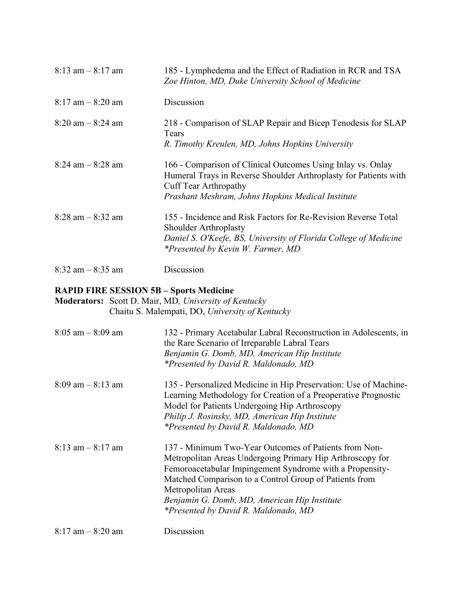| $8:13$ am $-8:17$ am | 185 - Lymphedema and the Effect of Radiation in RCR and TSA<br>Zoe Hinton, MD, Duke University School of Medicine                                                                                                    |
|----------------------|----------------------------------------------------------------------------------------------------------------------------------------------------------------------------------------------------------------------|
| $8:17$ am $-8:20$ am | Discussion                                                                                                                                                                                                           |
| $8:20$ am $-8:24$ am | 218 - Comparison of SLAP Repair and Bicep Tenodesis for SLAP<br>Tears<br>R. Timothy Kreulen, MD, Johns Hopkins University                                                                                            |
| $8:24$ am $-8:28$ am | 166 - Comparison of Clinical Outcomes Using Inlay vs. Onlay<br>Humeral Trays in Reverse Shoulder Arthroplasty for Patients with<br><b>Cuff Tear Arthropathy</b><br>Prashant Meshram, Johns Hopkins Medical Institute |
| $8:28$ am $-8:32$ am | 155 - Incidence and Risk Factors for Re-Revision Reverse Total<br>Shoulder Arthroplasty<br>Daniel S. O'Keefe, BS, University of Florida College of Medicine<br><i>*Presented by Kevin W. Farmer, MD</i>              |
| $8:32$ am $-8:35$ am | Discussion                                                                                                                                                                                                           |

#### **RAPID FIRE SESSION 5B – Sports Medicine**

**Moderators:** Scott D. Mair, MD*, University of Kentucky* Chaitu S. Malempati, DO, *University of Kentucky*

| $8:05$ am $-8:09$ am | 132 - Primary Acetabular Labral Reconstruction in Adolescents, in<br>the Rare Scenario of Irreparable Labral Tears<br>Benjamin G. Domb, MD, American Hip Institute<br>*Presented by David R. Maldonado, MD                                                                                                                                                    |
|----------------------|---------------------------------------------------------------------------------------------------------------------------------------------------------------------------------------------------------------------------------------------------------------------------------------------------------------------------------------------------------------|
| $8:09$ am $-8:13$ am | 135 - Personalized Medicine in Hip Preservation: Use of Machine-<br>Learning Methodology for Creation of a Preoperative Prognostic<br>Model for Patients Undergoing Hip Arthroscopy<br>Philip J. Rosinsky, MD, American Hip Institute<br><i>*Presented by David R. Maldonado, MD</i>                                                                          |
| $8:13$ am $-8:17$ am | 137 - Minimum Two-Year Outcomes of Patients from Non-<br>Metropolitan Areas Undergoing Primary Hip Arthroscopy for<br>Femoroacetabular Impingement Syndrome with a Propensity-<br>Matched Comparison to a Control Group of Patients from<br>Metropolitan Areas<br>Benjamin G. Domb, MD, American Hip Institute<br><i>*Presented by David R. Maldonado, MD</i> |
| $8:17$ am $-8:20$ am | Discussion                                                                                                                                                                                                                                                                                                                                                    |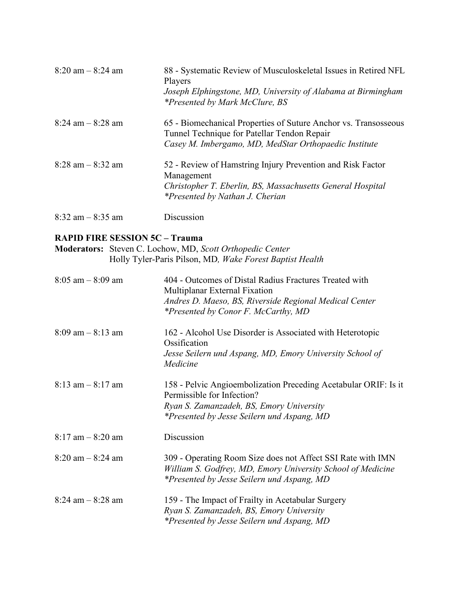| $8:20$ am $-8:24$ am | 88 - Systematic Review of Musculoskeletal Issues in Retired NFL<br>Players<br>Joseph Elphingstone, MD, University of Alabama at Birmingham<br><i>*Presented by Mark McClure, BS</i> |
|----------------------|-------------------------------------------------------------------------------------------------------------------------------------------------------------------------------------|
| $8:24$ am $-8:28$ am | 65 - Biomechanical Properties of Suture Anchor vs. Transosseous<br>Tunnel Technique for Patellar Tendon Repair<br>Casey M. Imbergamo, MD, MedStar Orthopaedic Institute             |
| $8:28$ am $-8:32$ am | 52 - Review of Hamstring Injury Prevention and Risk Factor<br>Management<br>Christopher T. Eberlin, BS, Massachusetts General Hospital<br><i>*Presented by Nathan J. Cherian</i>    |
| $8:32$ am $-8:35$ am | Discussion                                                                                                                                                                          |

#### **RAPID FIRE SESSION 5C – Trauma**

**Moderators:** Steven C. Lochow, MD, *Scott Orthopedic Center* Holly Tyler-Paris Pilson, MD*, Wake Forest Baptist Health*

| $8:05$ am $-8:09$ am | 404 - Outcomes of Distal Radius Fractures Treated with<br>Multiplanar External Fixation<br>Andres D. Maeso, BS, Riverside Regional Medical Center<br>*Presented by Conor F. McCarthy, MD       |
|----------------------|------------------------------------------------------------------------------------------------------------------------------------------------------------------------------------------------|
| $8:09$ am $-8:13$ am | 162 - Alcohol Use Disorder is Associated with Heterotopic<br>Ossification<br>Jesse Seilern und Aspang, MD, Emory University School of<br>Medicine                                              |
| $8:13$ am $-8:17$ am | 158 - Pelvic Angioembolization Preceding Acetabular ORIF: Is it<br>Permissible for Infection?<br>Ryan S. Zamanzadeh, BS, Emory University<br><i>*Presented by Jesse Seilern und Aspang, MD</i> |
| $8:17$ am $-8:20$ am | Discussion                                                                                                                                                                                     |
| $8:20$ am $-8:24$ am | 309 - Operating Room Size does not Affect SSI Rate with IMN<br>William S. Godfrey, MD, Emory University School of Medicine<br>*Presented by Jesse Seilern und Aspang, MD                       |
| $8:24$ am $-8:28$ am | 159 - The Impact of Frailty in Acetabular Surgery<br>Ryan S. Zamanzadeh, BS, Emory University<br><i>*Presented by Jesse Seilern und Aspang, MD</i>                                             |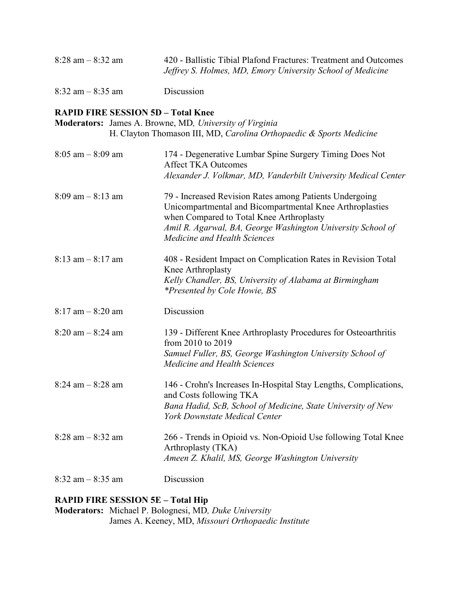| $8:28$ am $-8:32$ am | 420 - Ballistic Tibial Plafond Fractures: Treatment and Outcomes |  |  |
|----------------------|------------------------------------------------------------------|--|--|
|                      | Jeffrey S. Holmes, MD, Emory University School of Medicine       |  |  |
|                      |                                                                  |  |  |

 $8:32 \text{ am} - 8:35 \text{ am}$  Discussion

#### **RAPID FIRE SESSION 5D – Total Knee**

|                      | Moderators: James A. Browne, MD, University of Virginia<br>H. Clayton Thomason III, MD, Carolina Orthopaedic & Sports Medicine                                                                                                                                 |
|----------------------|----------------------------------------------------------------------------------------------------------------------------------------------------------------------------------------------------------------------------------------------------------------|
| $8:05$ am $-8:09$ am | 174 - Degenerative Lumbar Spine Surgery Timing Does Not<br><b>Affect TKA Outcomes</b><br>Alexander J. Volkmar, MD, Vanderbilt University Medical Center                                                                                                        |
| $8:09$ am $-8:13$ am | 79 - Increased Revision Rates among Patients Undergoing<br>Unicompartmental and Bicompartmental Knee Arthroplasties<br>when Compared to Total Knee Arthroplasty<br>Amil R. Agarwal, BA, George Washington University School of<br>Medicine and Health Sciences |
| $8:13$ am $-8:17$ am | 408 - Resident Impact on Complication Rates in Revision Total<br>Knee Arthroplasty<br>Kelly Chandler, BS, University of Alabama at Birmingham<br><i>*Presented by Cole Howie, BS</i>                                                                           |
| $8:17$ am $-8:20$ am | Discussion                                                                                                                                                                                                                                                     |
| $8:20$ am $-8:24$ am | 139 - Different Knee Arthroplasty Procedures for Osteoarthritis<br>from 2010 to 2019<br>Samuel Fuller, BS, George Washington University School of<br>Medicine and Health Sciences                                                                              |
| $8:24$ am $-8:28$ am | 146 - Crohn's Increases In-Hospital Stay Lengths, Complications,<br>and Costs following TKA<br>Bana Hadid, ScB, School of Medicine, State University of New<br>York Downstate Medical Center                                                                   |
| $8:28$ am $-8:32$ am | 266 - Trends in Opioid vs. Non-Opioid Use following Total Knee<br>Arthroplasty (TKA)<br>Ameen Z. Khalil, MS, George Washington University                                                                                                                      |
| $8:32$ am $-8:35$ am | Discussion                                                                                                                                                                                                                                                     |

# **RAPID FIRE SESSION 5E – Total Hip**

**Moderators:** Michael P. Bolognesi, MD*, Duke University* James A. Keeney, MD, *Missouri Orthopaedic Institute*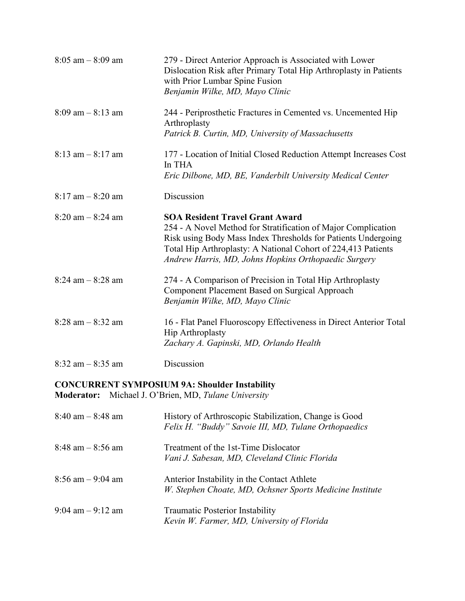| $8:05$ am $-8:09$ am                                                                                                   | 279 - Direct Anterior Approach is Associated with Lower<br>Dislocation Risk after Primary Total Hip Arthroplasty in Patients<br>with Prior Lumbar Spine Fusion<br>Benjamin Wilke, MD, Mayo Clinic                                                                                                 |  |
|------------------------------------------------------------------------------------------------------------------------|---------------------------------------------------------------------------------------------------------------------------------------------------------------------------------------------------------------------------------------------------------------------------------------------------|--|
| $8:09$ am $-8:13$ am                                                                                                   | 244 - Periprosthetic Fractures in Cemented vs. Uncemented Hip<br>Arthroplasty<br>Patrick B. Curtin, MD, University of Massachusetts                                                                                                                                                               |  |
| $8:13$ am $-8:17$ am                                                                                                   | 177 - Location of Initial Closed Reduction Attempt Increases Cost<br>In THA<br>Eric Dilbone, MD, BE, Vanderbilt University Medical Center                                                                                                                                                         |  |
| $8:17$ am $-8:20$ am                                                                                                   | Discussion                                                                                                                                                                                                                                                                                        |  |
| $8:20 \text{ am} - 8:24 \text{ am}$                                                                                    | <b>SOA Resident Travel Grant Award</b><br>254 - A Novel Method for Stratification of Major Complication<br>Risk using Body Mass Index Thresholds for Patients Undergoing<br>Total Hip Arthroplasty: A National Cohort of 224,413 Patients<br>Andrew Harris, MD, Johns Hopkins Orthopaedic Surgery |  |
| $8:24$ am $-8:28$ am                                                                                                   | 274 - A Comparison of Precision in Total Hip Arthroplasty<br>Component Placement Based on Surgical Approach<br>Benjamin Wilke, MD, Mayo Clinic                                                                                                                                                    |  |
| $8:28$ am $-8:32$ am                                                                                                   | 16 - Flat Panel Fluoroscopy Effectiveness in Direct Anterior Total<br><b>Hip Arthroplasty</b><br>Zachary A. Gapinski, MD, Orlando Health                                                                                                                                                          |  |
| $8:32$ am $-8:35$ am                                                                                                   | Discussion                                                                                                                                                                                                                                                                                        |  |
| <b>CONCURRENT SYMPOSIUM 9A: Shoulder Instability</b><br>Michael J. O'Brien, MD, Tulane University<br><b>Moderator:</b> |                                                                                                                                                                                                                                                                                                   |  |

| $8:40$ am $-8:48$ am | History of Arthroscopic Stabilization, Change is Good<br>Felix H. "Buddy" Savoie III, MD, Tulane Orthopaedics |
|----------------------|---------------------------------------------------------------------------------------------------------------|
| $8:48$ am $-8:56$ am | Treatment of the 1st-Time Dislocator<br>Vani J. Sabesan, MD, Cleveland Clinic Florida                         |
| $8:56$ am $-9:04$ am | Anterior Instability in the Contact Athlete<br>W. Stephen Choate, MD, Ochsner Sports Medicine Institute       |
| $9:04$ am $-9:12$ am | <b>Traumatic Posterior Instability</b><br>Kevin W. Farmer, MD, University of Florida                          |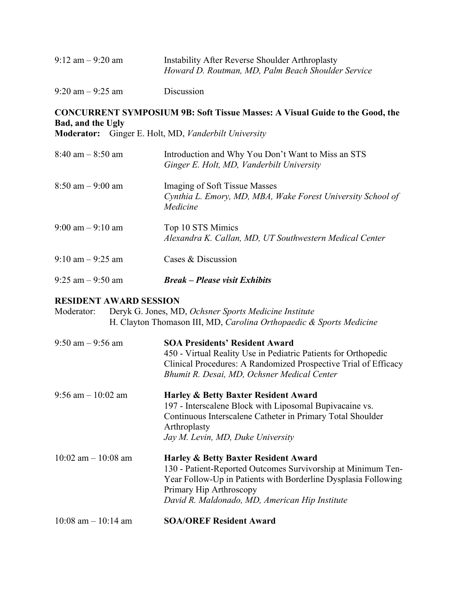| $9:12 \text{ am} - 9:20 \text{ am}$ | Instability After Reverse Shoulder Arthroplasty<br>Howard D. Routman, MD, Palm Beach Shoulder Service                                              |
|-------------------------------------|----------------------------------------------------------------------------------------------------------------------------------------------------|
| $9:20$ am $-9:25$ am                | Discussion                                                                                                                                         |
| <b>Bad, and the Ugly</b>            | <b>CONCURRENT SYMPOSIUM 9B: Soft Tissue Masses: A Visual Guide to the Good, the</b><br><b>Moderator:</b> Ginger E. Holt, MD, Vanderbilt University |
| $8:40$ am $-8:50$ am                | Introduction and Why You Don't Want to Miss an STS<br>Ginger E. Holt, MD, Vanderbilt University                                                    |
| $8:50$ am $-9:00$ am                | Imaging of Soft Tissue Masses<br>Cynthia L. Emory, MD, MBA, Wake Forest University School of<br>Medicine                                           |
| $9:00$ am $-9:10$ am                | Top 10 STS Mimics<br>Alexandra K. Callan, MD, UT Southwestern Medical Center                                                                       |

- 9:10 am  $-$  9:25 am Cases & Discussion
- 9:25 am 9:50 am *Break – Please visit Exhibits*

# **RESIDENT AWARD SESSION**

Moderator: Deryk G. Jones, MD, *Ochsner Sports Medicine Institute* H. Clayton Thomason III, MD, *Carolina Orthopaedic & Sports Medicine*

| $9:50$ am $-9:56$ am    | <b>SOA Presidents' Resident Award</b>                                      |
|-------------------------|----------------------------------------------------------------------------|
|                         | 450 - Virtual Reality Use in Pediatric Patients for Orthopedic             |
|                         | Clinical Procedures: A Randomized Prospective Trial of Efficacy            |
|                         | Bhumit R. Desai, MD, Ochsner Medical Center                                |
| $9:56$ am $-10:02$ am   | Harley & Betty Baxter Resident Award                                       |
|                         | 197 - Interscalene Block with Liposomal Bupivacaine vs.                    |
|                         | Continuous Interscalene Catheter in Primary Total Shoulder<br>Arthroplasty |
|                         | Jay M. Levin, MD, Duke University                                          |
| $10:02$ am $-10:08$ am  | Harley & Betty Baxter Resident Award                                       |
|                         | 130 - Patient-Reported Outcomes Survivorship at Minimum Ten-               |
|                         | Year Follow-Up in Patients with Borderline Dysplasia Following             |
|                         | Primary Hip Arthroscopy                                                    |
|                         | David R. Maldonado, MD, American Hip Institute                             |
| $10:08$ am $- 10:14$ am | <b>SOA/OREF Resident Award</b>                                             |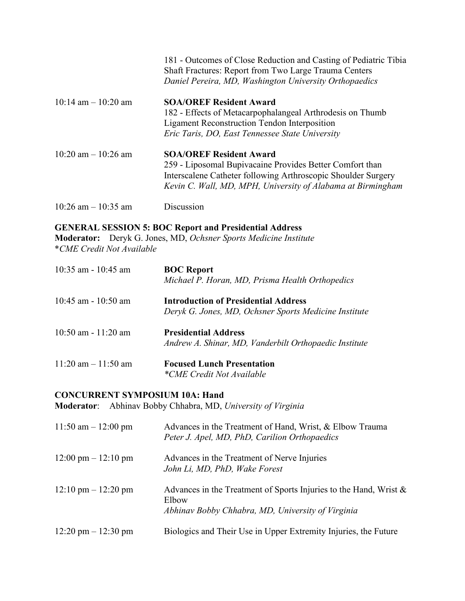|                        | 181 - Outcomes of Close Reduction and Casting of Pediatric Tibia<br>Shaft Fractures: Report from Two Large Trauma Centers<br>Daniel Pereira, MD, Washington University Orthopaedics                                        |
|------------------------|----------------------------------------------------------------------------------------------------------------------------------------------------------------------------------------------------------------------------|
| $10:14$ am $-10:20$ am | <b>SOA/OREF Resident Award</b><br>182 - Effects of Metacarpophalangeal Arthrodesis on Thumb<br>Ligament Reconstruction Tendon Interposition<br>Eric Taris, DO, East Tennessee State University                             |
| 10:20 am $-$ 10:26 am  | <b>SOA/OREF Resident Award</b><br>259 - Liposomal Bupivacaine Provides Better Comfort than<br>Interscalene Catheter following Arthroscopic Shoulder Surgery<br>Kevin C. Wall, MD, MPH, University of Alabama at Birmingham |
| $10:26$ am $-10:35$ am | Discussion                                                                                                                                                                                                                 |

**GENERAL SESSION 5: BOC Report and Presidential Address Moderator:** Deryk G. Jones, MD, *Ochsner Sports Medicine Institute* \**CME Credit Not Available*

| $10:35$ am - $10:45$ am | <b>BOC</b> Report<br>Michael P. Horan, MD, Prisma Health Orthopedics                                 |
|-------------------------|------------------------------------------------------------------------------------------------------|
| 10:45 am - 10:50 am     | <b>Introduction of Presidential Address</b><br>Deryk G. Jones, MD, Ochsner Sports Medicine Institute |
| 10:50 am - 11:20 am     | <b>Presidential Address</b><br>Andrew A. Shinar, MD, Vanderbilt Orthopaedic Institute                |
| $11:20$ am $-11:50$ am  | <b>Focused Lunch Presentation</b><br>*CME Credit Not Available                                       |

# **CONCURRENT SYMPOSIUM 10A: Hand**

**Moderator**: Abhinav Bobby Chhabra, MD, *University of Virginia*

| 11:50 am $-$ 12:00 pm                 | Advances in the Treatment of Hand, Wrist, & Elbow Trauma<br>Peter J. Apel, MD, PhD, Carilion Orthopaedics                       |
|---------------------------------------|---------------------------------------------------------------------------------------------------------------------------------|
| $12:00 \text{ pm} - 12:10 \text{ pm}$ | Advances in the Treatment of Nerve Injuries<br>John Li, MD, PhD, Wake Forest                                                    |
| $12:10 \text{ pm} - 12:20 \text{ pm}$ | Advances in the Treatment of Sports Injuries to the Hand, Wrist &<br>Elbow<br>Abhinav Bobby Chhabra, MD, University of Virginia |
| $12:20 \text{ pm} - 12:30 \text{ pm}$ | Biologics and Their Use in Upper Extremity Injuries, the Future                                                                 |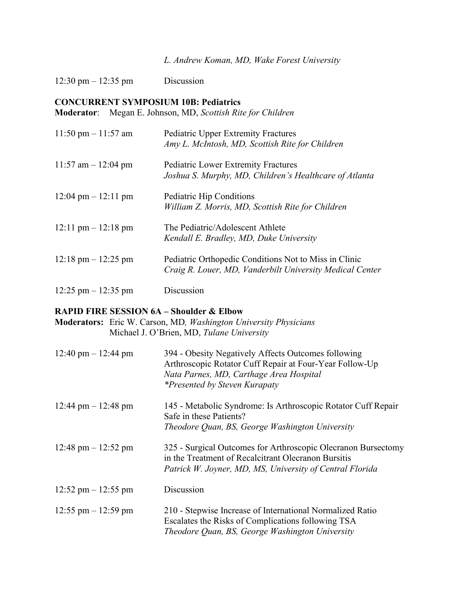*L. Andrew Koman, MD, Wake Forest University*

12:30 pm – 12:35 pm Discussion

## **CONCURRENT SYMPOSIUM 10B: Pediatrics**

**Moderator**: Megan E. Johnson, MD, *Scottish Rite for Children*

| $11:50 \text{ pm} - 11:57 \text{ am}$ | <b>Pediatric Upper Extremity Fractures</b><br>Amy L. McIntosh, MD, Scottish Rite for Children                     |
|---------------------------------------|-------------------------------------------------------------------------------------------------------------------|
| $11:57$ am $-12:04$ pm                | <b>Pediatric Lower Extremity Fractures</b><br>Joshua S. Murphy, MD, Children's Healthcare of Atlanta              |
| $12:04 \text{ pm} - 12:11 \text{ pm}$ | Pediatric Hip Conditions<br>William Z. Morris, MD, Scottish Rite for Children                                     |
| $12:11 \text{ pm} - 12:18 \text{ pm}$ | The Pediatric/Adolescent Athlete<br>Kendall E. Bradley, MD, Duke University                                       |
| $12:18 \text{ pm} - 12:25 \text{ pm}$ | Pediatric Orthopedic Conditions Not to Miss in Clinic<br>Craig R. Louer, MD, Vanderbilt University Medical Center |
| $12:25$ pm $-12:35$ pm                | Discussion                                                                                                        |

#### **RAPID FIRE SESSION 6A – Shoulder & Elbow**

**Moderators:** Eric W. Carson, MD*, Washington University Physicians* Michael J. O'Brien, MD, *Tulane University*

| $12:40 \text{ pm} - 12:44 \text{ pm}$ | 394 - Obesity Negatively Affects Outcomes following<br>Arthroscopic Rotator Cuff Repair at Four-Year Follow-Up<br>Nata Parnes, MD, Carthage Area Hospital<br><i>*Presented by Steven Kurapaty</i> |
|---------------------------------------|---------------------------------------------------------------------------------------------------------------------------------------------------------------------------------------------------|
| $12:44 \text{ pm} - 12:48 \text{ pm}$ | 145 - Metabolic Syndrome: Is Arthroscopic Rotator Cuff Repair<br>Safe in these Patients?                                                                                                          |
|                                       | Theodore Quan, BS, George Washington University                                                                                                                                                   |
| 12:48 pm $-$ 12:52 pm                 | 325 - Surgical Outcomes for Arthroscopic Olecranon Bursectomy<br>in the Treatment of Recalcitrant Olecranon Bursitis<br>Patrick W. Joyner, MD, MS, University of Central Florida                  |
| $12:52 \text{ pm} - 12:55 \text{ pm}$ | Discussion                                                                                                                                                                                        |
| $12:55$ pm $-12:59$ pm                | 210 - Stepwise Increase of International Normalized Ratio<br>Escalates the Risks of Complications following TSA<br>Theodore Quan, BS, George Washington University                                |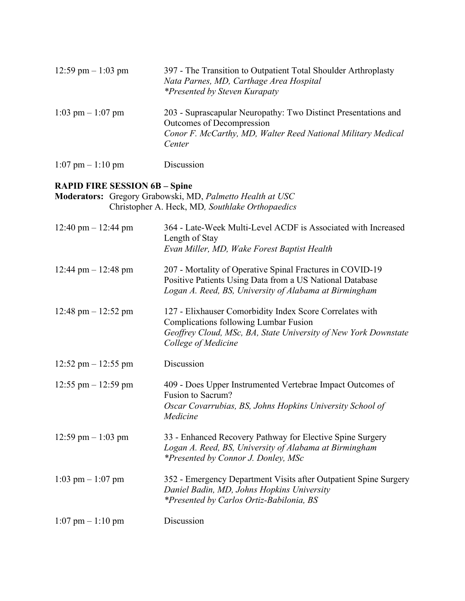| $12:59$ pm $-1:03$ pm | 397 - The Transition to Outpatient Total Shoulder Arthroplasty<br>Nata Parnes, MD, Carthage Area Hospital<br><i>*Presented by Steven Kurapaty</i>                     |
|-----------------------|-----------------------------------------------------------------------------------------------------------------------------------------------------------------------|
| $1:03$ pm $-1:07$ pm  | 203 - Suprascapular Neuropathy: Two Distinct Presentations and<br>Outcomes of Decompression<br>Conor F. McCarthy, MD, Walter Reed National Military Medical<br>Center |

# 1:07 pm – 1:10 pm Discussion

# **RAPID FIRE SESSION 6B – Spine**

**Moderators:** Gregory Grabowski, MD, *Palmetto Health at USC* Christopher A. Heck, MD*, Southlake Orthopaedics*

| $12:40 \text{ pm} - 12:44 \text{ pm}$ | 364 - Late-Week Multi-Level ACDF is Associated with Increased<br>Length of Stay<br>Evan Miller, MD, Wake Forest Baptist Health                                                                     |
|---------------------------------------|----------------------------------------------------------------------------------------------------------------------------------------------------------------------------------------------------|
| 12:44 pm $-$ 12:48 pm                 | 207 - Mortality of Operative Spinal Fractures in COVID-19<br>Positive Patients Using Data from a US National Database<br>Logan A. Reed, BS, University of Alabama at Birmingham                    |
| 12:48 pm $-$ 12:52 pm                 | 127 - Elixhauser Comorbidity Index Score Correlates with<br><b>Complications following Lumbar Fusion</b><br>Geoffrey Cloud, MSc, BA, State University of New York Downstate<br>College of Medicine |
| $12:52 \text{ pm} - 12:55 \text{ pm}$ | Discussion                                                                                                                                                                                         |
| $12:55$ pm $-12:59$ pm                | 409 - Does Upper Instrumented Vertebrae Impact Outcomes of<br>Fusion to Sacrum?<br>Oscar Covarrubias, BS, Johns Hopkins University School of<br>Medicine                                           |
| $12:59$ pm $- 1:03$ pm                | 33 - Enhanced Recovery Pathway for Elective Spine Surgery<br>Logan A. Reed, BS, University of Alabama at Birmingham<br>*Presented by Connor J. Donley, MSc                                         |
| $1:03$ pm $-1:07$ pm                  | 352 - Emergency Department Visits after Outpatient Spine Surgery<br>Daniel Badin, MD, Johns Hopkins University<br>*Presented by Carlos Ortiz-Babilonia, BS                                         |
| $1:07$ pm $-1:10$ pm                  | Discussion                                                                                                                                                                                         |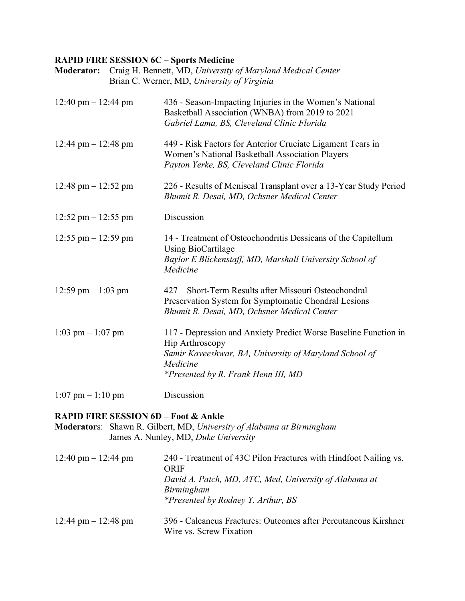#### **RAPID FIRE SESSION 6C – Sports Medicine**

| <b>Moderator:</b>                                                                                        | Craig H. Bennett, MD, University of Maryland Medical Center<br>Brian C. Werner, MD, University of Virginia                                                                                      |
|----------------------------------------------------------------------------------------------------------|-------------------------------------------------------------------------------------------------------------------------------------------------------------------------------------------------|
| $12:40 \text{ pm} - 12:44 \text{ pm}$                                                                    | 436 - Season-Impacting Injuries in the Women's National<br>Basketball Association (WNBA) from 2019 to 2021<br>Gabriel Lama, BS, Cleveland Clinic Florida                                        |
| 12:44 pm $-$ 12:48 pm                                                                                    | 449 - Risk Factors for Anterior Cruciate Ligament Tears in<br>Women's National Basketball Association Players<br>Payton Yerke, BS, Cleveland Clinic Florida                                     |
| 12:48 pm $-$ 12:52 pm                                                                                    | 226 - Results of Meniscal Transplant over a 13-Year Study Period<br>Bhumit R. Desai, MD, Ochsner Medical Center                                                                                 |
| $12:52 \text{ pm} - 12:55 \text{ pm}$                                                                    | Discussion                                                                                                                                                                                      |
| $12:55$ pm $-12:59$ pm                                                                                   | 14 - Treatment of Osteochondritis Dessicans of the Capitellum<br>Using BioCartilage<br>Baylor E Blickenstaff, MD, Marshall University School of<br>Medicine                                     |
| 12:59 pm $-1:03$ pm                                                                                      | 427 – Short-Term Results after Missouri Osteochondral<br>Preservation System for Symptomatic Chondral Lesions<br>Bhumit R. Desai, MD, Ochsner Medical Center                                    |
| 1:03 pm $-$ 1:07 pm                                                                                      | 117 - Depression and Anxiety Predict Worse Baseline Function in<br>Hip Arthroscopy<br>Samir Kaveeshwar, BA, University of Maryland School of<br>Medicine<br>*Presented by R. Frank Henn III, MD |
| $1:07$ pm $-1:10$ pm                                                                                     | Discussion                                                                                                                                                                                      |
| $\mathbf{D}$ a difficult circularized $\mathbf{E}_{\text{ref}}$ ( $\theta$ and $\mathbf{E}_{\text{ref}}$ |                                                                                                                                                                                                 |

#### **RAPID FIRE SESSION 6D – Foot & Ankle**

**Moderator**s: Shawn R. Gilbert, MD, *University of Alabama at Birmingham* James A. Nunley, MD, *Duke University* 

| $12:40 \text{ pm} - 12:44 \text{ pm}$ | 240 - Treatment of 43C Pilon Fractures with Hindfoot Nailing vs.<br>ORIF<br>David A. Patch, MD, ATC, Med, University of Alabama at<br>Birmingham<br><i>*Presented by Rodney Y. Arthur, BS</i> |
|---------------------------------------|-----------------------------------------------------------------------------------------------------------------------------------------------------------------------------------------------|
| 12:44 pm $-$ 12:48 pm                 | 396 - Calcaneus Fractures: Outcomes after Percutaneous Kirshner<br>Wire vs. Screw Fixation                                                                                                    |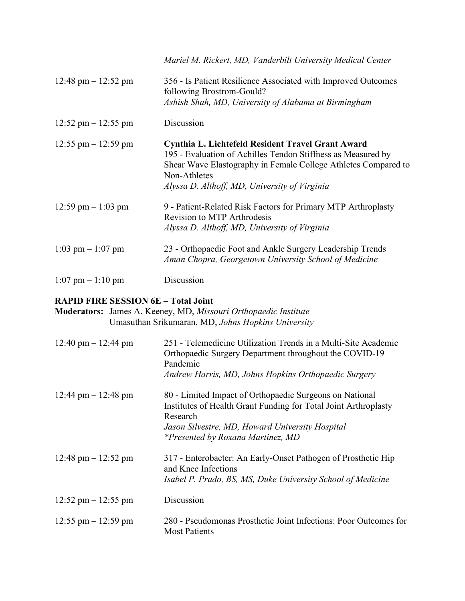|                                       | Mariel M. Rickert, MD, Vanderbilt University Medical Center                                                                                                                                                                                          |
|---------------------------------------|------------------------------------------------------------------------------------------------------------------------------------------------------------------------------------------------------------------------------------------------------|
| 12:48 pm $-$ 12:52 pm                 | 356 - Is Patient Resilience Associated with Improved Outcomes<br>following Brostrom-Gould?<br>Ashish Shah, MD, University of Alabama at Birmingham                                                                                                   |
| $12:52 \text{ pm} - 12:55 \text{ pm}$ | Discussion                                                                                                                                                                                                                                           |
| $12:55$ pm $-12:59$ pm                | Cynthia L. Lichtefeld Resident Travel Grant Award<br>195 - Evaluation of Achilles Tendon Stiffness as Measured by<br>Shear Wave Elastography in Female College Athletes Compared to<br>Non-Athletes<br>Alyssa D. Althoff, MD, University of Virginia |
| 12:59 pm $-1:03$ pm                   | 9 - Patient-Related Risk Factors for Primary MTP Arthroplasty<br><b>Revision to MTP Arthrodesis</b><br>Alyssa D. Althoff, MD, University of Virginia                                                                                                 |
| $1:03$ pm $-1:07$ pm                  | 23 - Orthopaedic Foot and Ankle Surgery Leadership Trends<br>Aman Chopra, Georgetown University School of Medicine                                                                                                                                   |
| $1:07$ pm $-1:10$ pm                  | Discussion                                                                                                                                                                                                                                           |

## **RAPID FIRE SESSION 6E – Total Joint**

**Moderators:** James A. Keeney, MD, *Missouri Orthopaedic Institute* Umasuthan Srikumaran, MD, *Johns Hopkins University*

| 12:40 pm $-$ 12:44 pm                 | 251 - Telemedicine Utilization Trends in a Multi-Site Academic<br>Orthopaedic Surgery Department throughout the COVID-19<br>Pandemic<br>Andrew Harris, MD, Johns Hopkins Orthopaedic Surgery                                          |
|---------------------------------------|---------------------------------------------------------------------------------------------------------------------------------------------------------------------------------------------------------------------------------------|
| 12:44 pm $- 12:48$ pm                 | 80 - Limited Impact of Orthopaedic Surgeons on National<br>Institutes of Health Grant Funding for Total Joint Arthroplasty<br>Research<br>Jason Silvestre, MD, Howard University Hospital<br><i>*Presented by Roxana Martinez, MD</i> |
| 12:48 pm $-$ 12:52 pm                 | 317 - Enterobacter: An Early-Onset Pathogen of Prosthetic Hip<br>and Knee Infections<br>Isabel P. Prado, BS, MS, Duke University School of Medicine                                                                                   |
| $12:52 \text{ pm} - 12:55 \text{ pm}$ | Discussion                                                                                                                                                                                                                            |
| $12:55$ pm $-12:59$ pm                | 280 - Pseudomonas Prosthetic Joint Infections: Poor Outcomes for<br><b>Most Patients</b>                                                                                                                                              |